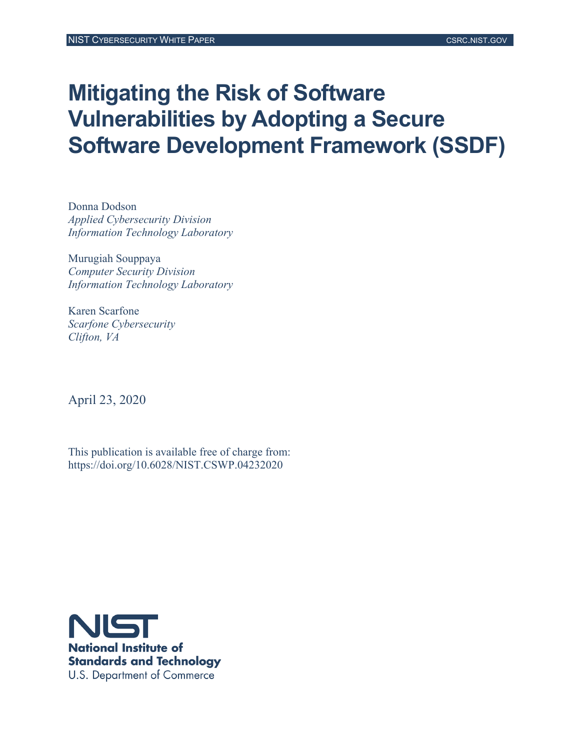# **Mitigating the Risk of Software Vulnerabilities by Adopting a Secure Software Development Framework (SSDF)**

Donna Dodson *Applied Cybersecurity Division Information Technology Laboratory*

Murugiah Souppaya *Computer Security Division Information Technology Laboratory*

Karen Scarfone *Scarfone Cybersecurity Clifton, VA*

April 23, 2020

This publication is available free of charge from: https://doi.org/10.6028/NIST.CSWP.04232020

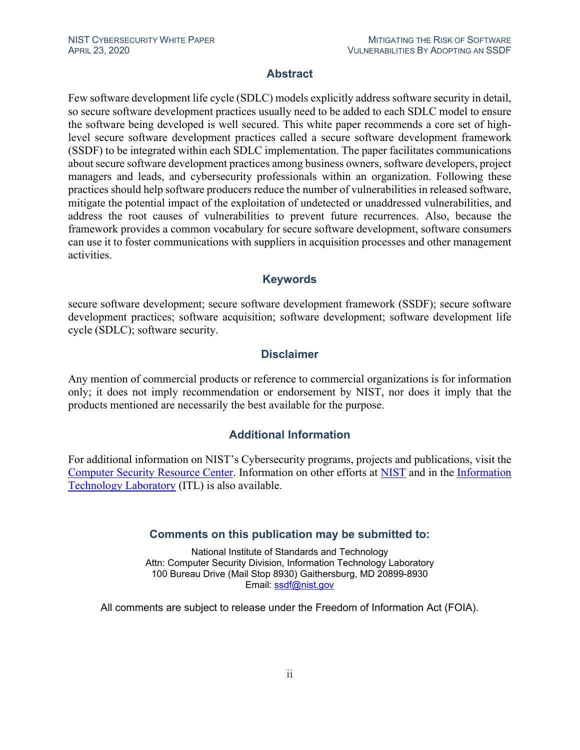### **Abstract**

Few software development life cycle (SDLC) models explicitly address software security in detail, so secure software development practices usually need to be added to each SDLC model to ensure the software being developed is well secured. This white paper recommends a core set of highlevel secure software development practices called a secure software development framework (SSDF) to be integrated within each SDLC implementation. The paper facilitates communications about secure software development practices among business owners, software developers, project managers and leads, and cybersecurity professionals within an organization. Following these practices should help software producers reduce the number of vulnerabilities in released software, mitigate the potential impact of the exploitation of undetected or unaddressed vulnerabilities, and address the root causes of vulnerabilities to prevent future recurrences. Also, because the framework provides a common vocabulary for secure software development, software consumers can use it to foster communications with suppliers in acquisition processes and other management activities.

### **Keywords**

secure software development; secure software development framework (SSDF); secure software development practices; software acquisition; software development; software development life cycle (SDLC); software security.

### **Disclaimer**

Any mention of commercial products or reference to commercial organizations is for information only; it does not imply recommendation or endorsement by NIST, nor does it imply that the products mentioned are necessarily the best available for the purpose.

### **Additional Information**

For additional information on NIST's Cybersecurity programs, projects and publications, visit the [Computer Security Resource Center.](https://csrc.nist.gov/) Information on other efforts at [NIST](https://www.nist.gov/) and in the [Information](https://www.nist.gov/itl)  [Technology Laboratory](https://www.nist.gov/itl) (ITL) is also available.

### **Comments on this publication may be submitted to:**

National Institute of Standards and Technology Attn: Computer Security Division, Information Technology Laboratory 100 Bureau Drive (Mail Stop 8930) Gaithersburg, MD 20899-8930 Email: [ssdf@nist.gov](mailto:ssdf@nist.gov)

All comments are subject to release under the Freedom of Information Act (FOIA).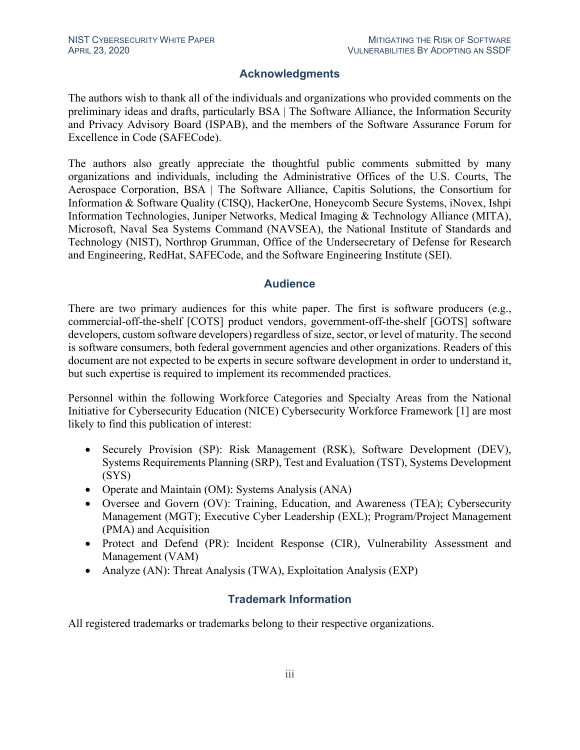### **Acknowledgments**

The authors wish to thank all of the individuals and organizations who provided comments on the preliminary ideas and drafts, particularly BSA | The Software Alliance, the Information Security and Privacy Advisory Board (ISPAB), and the members of the Software Assurance Forum for Excellence in Code (SAFECode).

The authors also greatly appreciate the thoughtful public comments submitted by many organizations and individuals, including the Administrative Offices of the U.S. Courts, The Aerospace Corporation, BSA | The Software Alliance, Capitis Solutions, the Consortium for Information & Software Quality (CISQ), HackerOne, Honeycomb Secure Systems, iNovex, Ishpi Information Technologies, Juniper Networks, Medical Imaging & Technology Alliance (MITA), Microsoft, Naval Sea Systems Command (NAVSEA), the National Institute of Standards and Technology (NIST), Northrop Grumman, Office of the Undersecretary of Defense for Research and Engineering, RedHat, SAFECode, and the Software Engineering Institute (SEI).

### **Audience**

There are two primary audiences for this white paper. The first is software producers (e.g., commercial-off-the-shelf [COTS] product vendors, government-off-the-shelf [GOTS] software developers, custom software developers) regardless of size, sector, or level of maturity. The second is software consumers, both federal government agencies and other organizations. Readers of this document are not expected to be experts in secure software development in order to understand it, but such expertise is required to implement its recommended practices.

Personnel within the following Workforce Categories and Specialty Areas from the National Initiative for Cybersecurity Education (NICE) Cybersecurity Workforce Framework [\[1\]](#page-24-0) are most likely to find this publication of interest:

- Securely Provision (SP): Risk Management (RSK), Software Development (DEV), Systems Requirements Planning (SRP), Test and Evaluation (TST), Systems Development (SYS)
- Operate and Maintain (OM): Systems Analysis (ANA)
- Oversee and Govern (OV): Training, Education, and Awareness (TEA); Cybersecurity Management (MGT); Executive Cyber Leadership (EXL); Program/Project Management (PMA) and Acquisition
- Protect and Defend (PR): Incident Response (CIR), Vulnerability Assessment and Management (VAM)
- Analyze (AN): Threat Analysis (TWA), Exploitation Analysis (EXP)

### **Trademark Information**

All registered trademarks or trademarks belong to their respective organizations.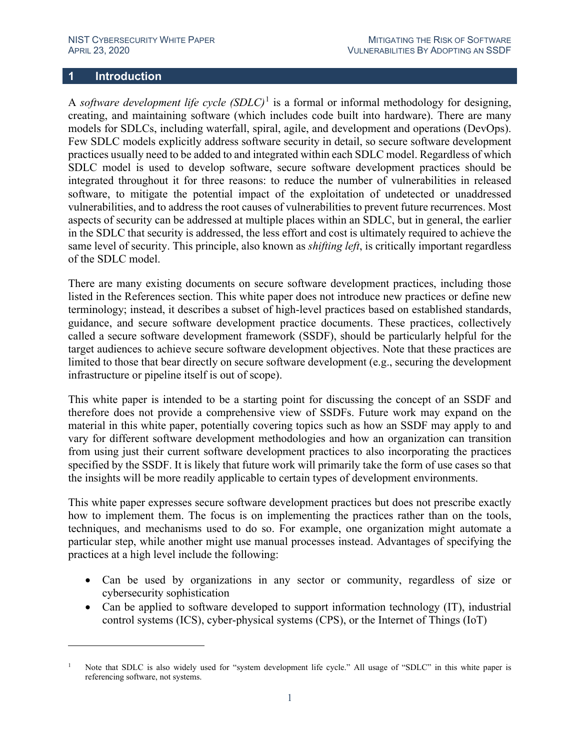### **1 Introduction**

A *software development life cycle*  $(SDLC)^1$  $(SDLC)^1$  is a formal or informal methodology for designing, creating, and maintaining software (which includes code built into hardware). There are many models for SDLCs, including waterfall, spiral, agile, and development and operations (DevOps). Few SDLC models explicitly address software security in detail, so secure software development practices usually need to be added to and integrated within each SDLC model. Regardless of which SDLC model is used to develop software, secure software development practices should be integrated throughout it for three reasons: to reduce the number of vulnerabilities in released software, to mitigate the potential impact of the exploitation of undetected or unaddressed vulnerabilities, and to address the root causes of vulnerabilities to prevent future recurrences. Most aspects of security can be addressed at multiple places within an SDLC, but in general, the earlier in the SDLC that security is addressed, the less effort and cost is ultimately required to achieve the same level of security. This principle, also known as *shifting left*, is critically important regardless of the SDLC model.

There are many existing documents on secure software development practices, including those listed in the [References](#page-24-1) section. This white paper does not introduce new practices or define new terminology; instead, it describes a subset of high-level practices based on established standards, guidance, and secure software development practice documents. These practices, collectively called a secure software development framework (SSDF), should be particularly helpful for the target audiences to achieve secure software development objectives. Note that these practices are limited to those that bear directly on secure software development (e.g., securing the development infrastructure or pipeline itself is out of scope).

This white paper is intended to be a starting point for discussing the concept of an SSDF and therefore does not provide a comprehensive view of SSDFs. Future work may expand on the material in this white paper, potentially covering topics such as how an SSDF may apply to and vary for different software development methodologies and how an organization can transition from using just their current software development practices to also incorporating the practices specified by the SSDF. It is likely that future work will primarily take the form of use cases so that the insights will be more readily applicable to certain types of development environments.

This white paper expresses secure software development practices but does not prescribe exactly how to implement them. The focus is on implementing the practices rather than on the tools, techniques, and mechanisms used to do so. For example, one organization might automate a particular step, while another might use manual processes instead. Advantages of specifying the practices at a high level include the following:

- Can be used by organizations in any sector or community, regardless of size or cybersecurity sophistication
- Can be applied to software developed to support information technology (IT), industrial control systems (ICS), cyber-physical systems (CPS), or the Internet of Things (IoT)

<span id="page-3-0"></span><sup>1</sup> Note that SDLC is also widely used for "system development life cycle." All usage of "SDLC" in this white paper is referencing software, not systems.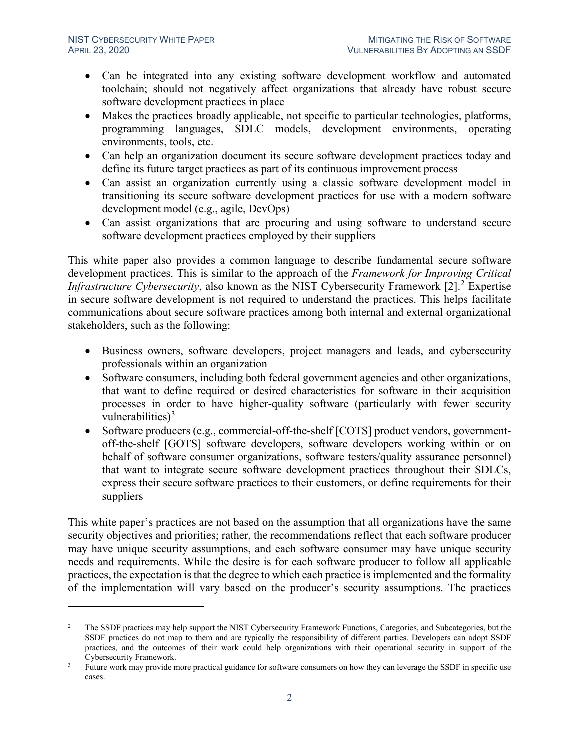- Can be integrated into any existing software development workflow and automated toolchain; should not negatively affect organizations that already have robust secure software development practices in place
- Makes the practices broadly applicable, not specific to particular technologies, platforms, programming languages, SDLC models, development environments, operating environments, tools, etc.
- Can help an organization document its secure software development practices today and define its future target practices as part of its continuous improvement process
- Can assist an organization currently using a classic software development model in transitioning its secure software development practices for use with a modern software development model (e.g., agile, DevOps)
- Can assist organizations that are procuring and using software to understand secure software development practices employed by their suppliers

This white paper also provides a common language to describe fundamental secure software development practices. This is similar to the approach of the *Framework for Improving Critical Infrastructure Cybersecurity*, also known as the NIST Cybersecurity Framework [\[2\].](#page-24-2) [2](#page-4-0) Expertise in secure software development is not required to understand the practices. This helps facilitate communications about secure software practices among both internal and external organizational stakeholders, such as the following:

- Business owners, software developers, project managers and leads, and cybersecurity professionals within an organization
- Software consumers, including both federal government agencies and other organizations, that want to define required or desired characteristics for software in their acquisition processes in order to have higher-quality software (particularly with fewer security vulnerabilities) $3$
- Software producers (e.g., commercial-off-the-shelf [COTS] product vendors, governmentoff-the-shelf [GOTS] software developers, software developers working within or on behalf of software consumer organizations, software testers/quality assurance personnel) that want to integrate secure software development practices throughout their SDLCs, express their secure software practices to their customers, or define requirements for their suppliers

This white paper's practices are not based on the assumption that all organizations have the same security objectives and priorities; rather, the recommendations reflect that each software producer may have unique security assumptions, and each software consumer may have unique security needs and requirements. While the desire is for each software producer to follow all applicable practices, the expectation is that the degree to which each practice is implemented and the formality of the implementation will vary based on the producer's security assumptions. The practices

<span id="page-4-0"></span><sup>&</sup>lt;sup>2</sup> The SSDF practices may help support the NIST Cybersecurity Framework Functions, Categories, and Subcategories, but the SSDF practices do not map to them and are typically the responsibility of different parties. Developers can adopt SSDF practices, and the outcomes of their work could help organizations with their operational security in support of the Cybersecurity Framework.

<span id="page-4-1"></span><sup>&</sup>lt;sup>3</sup> Future work may provide more practical guidance for software consumers on how they can leverage the SSDF in specific use cases.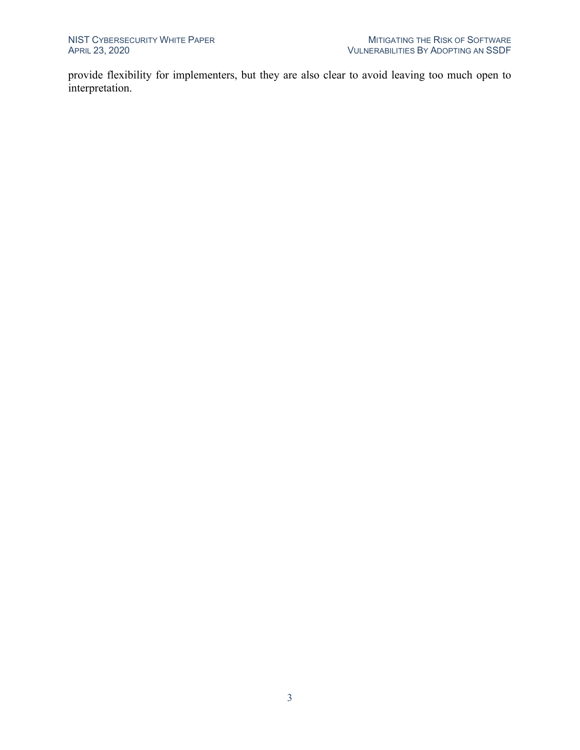provide flexibility for implementers, but they are also clear to avoid leaving too much open to interpretation.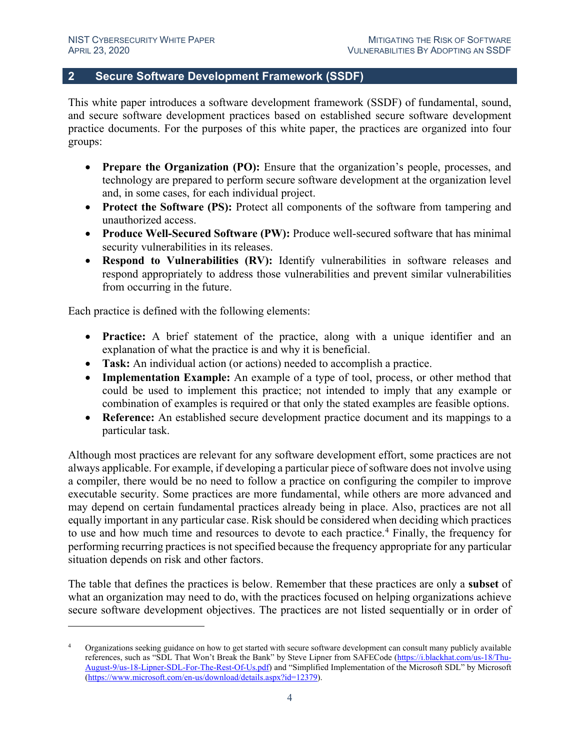### **2 Secure Software Development Framework (SSDF)**

This white paper introduces a software development framework (SSDF) of fundamental, sound, and secure software development practices based on established secure software development practice documents. For the purposes of this white paper, the practices are organized into four groups:

- **Prepare the Organization (PO):** Ensure that the organization's people, processes, and technology are prepared to perform secure software development at the organization level and, in some cases, for each individual project.
- **Protect the Software (PS):** Protect all components of the software from tampering and unauthorized access.
- **Produce Well-Secured Software (PW):** Produce well-secured software that has minimal security vulnerabilities in its releases.
- **Respond to Vulnerabilities (RV):** Identify vulnerabilities in software releases and respond appropriately to address those vulnerabilities and prevent similar vulnerabilities from occurring in the future.

Each practice is defined with the following elements:

- **Practice:** A brief statement of the practice, along with a unique identifier and an explanation of what the practice is and why it is beneficial.
- **Task:** An individual action (or actions) needed to accomplish a practice.
- **Implementation Example:** An example of a type of tool, process, or other method that could be used to implement this practice; not intended to imply that any example or combination of examples is required or that only the stated examples are feasible options.
- **Reference:** An established secure development practice document and its mappings to a particular task.

Although most practices are relevant for any software development effort, some practices are not always applicable. For example, if developing a particular piece of software does not involve using a compiler, there would be no need to follow a practice on configuring the compiler to improve executable security. Some practices are more fundamental, while others are more advanced and may depend on certain fundamental practices already being in place. Also, practices are not all equally important in any particular case. Risk should be considered when deciding which practices to use and how much time and resources to devote to each practice.<sup>[4](#page-6-0)</sup> Finally, the frequency for performing recurring practices is not specified because the frequency appropriate for any particular situation depends on risk and other factors.

The table that defines the practices is below. Remember that these practices are only a **subset** of what an organization may need to do, with the practices focused on helping organizations achieve secure software development objectives. The practices are not listed sequentially or in order of

<span id="page-6-0"></span><sup>4</sup> Organizations seeking guidance on how to get started with secure software development can consult many publicly available references, such as "SDL That Won't Break the Bank" by Steve Lipner from SAFECode [\(https://i.blackhat.com/us-18/Thu-](https://i.blackhat.com/us-18/Thu-August-9/us-18-Lipner-SDL-For-The-Rest-Of-Us.pdf)[August-9/us-18-Lipner-SDL-For-The-Rest-Of-Us.pdf\)](https://i.blackhat.com/us-18/Thu-August-9/us-18-Lipner-SDL-For-The-Rest-Of-Us.pdf) and "Simplified Implementation of the Microsoft SDL" by Microsoft [\(https://www.microsoft.com/en-us/download/details.aspx?id=12379\)](https://www.microsoft.com/en-us/download/details.aspx?id=12379).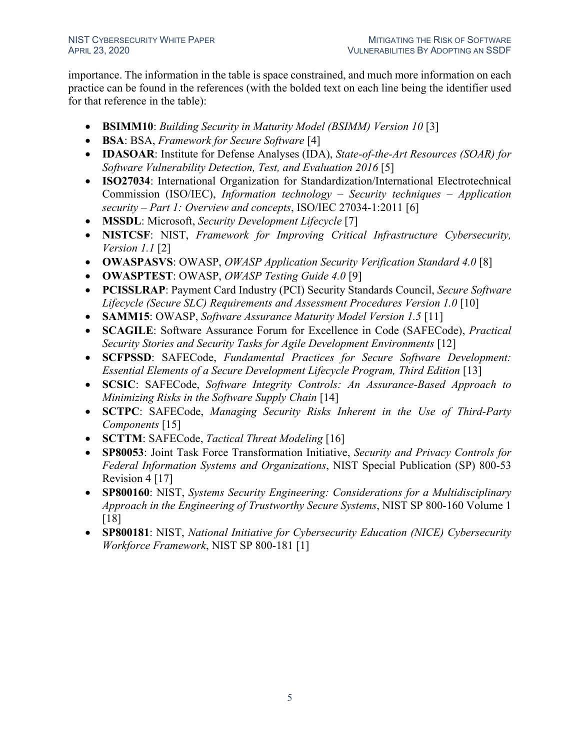importance. The information in the table is space constrained, and much more information on each practice can be found in the references (with the bolded text on each line being the identifier used for that reference in the table):

- **BSIMM10**: *Building Security in Maturity Model (BSIMM) Version 10* [\[3\]](#page-24-3)
- **BSA**: BSA, *Framework for Secure Software* [\[4\]](#page-24-4)
- **IDASOAR**: Institute for Defense Analyses (IDA), *State-of-the-Art Resources (SOAR) for Software Vulnerability Detection, Test, and Evaluation 2016* [\[5\]](#page-24-5)
- **ISO27034**: International Organization for Standardization/International Electrotechnical Commission (ISO/IEC), *Information technology – Security techniques – Application security – Part 1: Overview and concepts*, ISO/IEC 27034-1:2011 [\[6\]](#page-24-6)
- **MSSDL**: Microsoft, *Security Development Lifecycle* [\[7\]](#page-24-7)
- **NISTCSF**: NIST, *Framework for Improving Critical Infrastructure Cybersecurity, Version 1.1* [\[2\]](#page-24-2)
- **OWASPASVS**: OWASP, *OWASP Application Security Verification Standard 4.0* [\[8\]](#page-24-8)
- **OWASPTEST**: OWASP, *OWASP Testing Guide 4.0* [\[9\]](#page-24-9)
- **PCISSLRAP**: Payment Card Industry (PCI) Security Standards Council, *Secure Software Lifecycle (Secure SLC) Requirements and Assessment Procedures Version 1.0* [\[10\]](#page-24-10)
- **SAMM15**: OWASP, *Software Assurance Maturity Model Version 1.5* [\[11\]](#page-24-11)
- **SCAGILE**: Software Assurance Forum for Excellence in Code (SAFECode), *Practical Security Stories and Security Tasks for Agile Development Environments* [\[12\]](#page-24-12)
- **SCFPSSD**: SAFECode, *Fundamental Practices for Secure Software Development: Essential Elements of a Secure Development Lifecycle Program, Third Edition* [\[13\]](#page-25-0)
- **SCSIC**: SAFECode, *Software Integrity Controls: An Assurance-Based Approach to Minimizing Risks in the Software Supply Chain* [\[14\]](#page-25-1)
- **SCTPC**: SAFECode, *Managing Security Risks Inherent in the Use of Third-Party Components* [\[15\]](#page-25-2)
- **SCTTM**: SAFECode, *Tactical Threat Modeling* [\[16\]](#page-25-3)
- **SP80053**: Joint Task Force Transformation Initiative, *Security and Privacy Controls for Federal Information Systems and Organizations*, NIST Special Publication (SP) 800-53 Revision 4 [\[17\]](#page-25-4)
- **SP800160**: NIST, *Systems Security Engineering: Considerations for a Multidisciplinary Approach in the Engineering of Trustworthy Secure Systems*, NIST SP 800-160 Volume 1 [\[18\]](#page-25-5)
- **SP800181**: NIST, *National Initiative for Cybersecurity Education (NICE) Cybersecurity Workforce Framework*, NIST SP 800-181 [\[1\]](#page-24-0)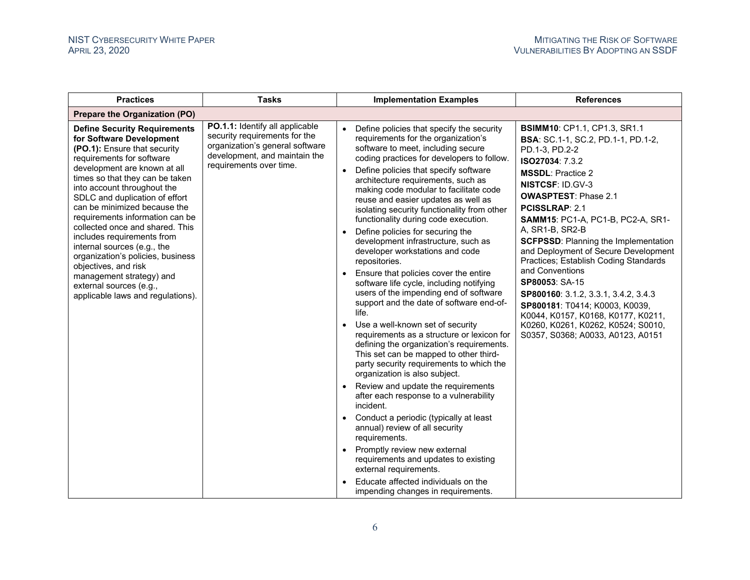| <b>Practices</b>                                                                                                                                                                                                                                                                                                                                                                                                                                                                                                                                                                             | <b>Tasks</b>                                                                                                                                                    | <b>Implementation Examples</b>                                                                                                                                                                                                                                                                                                                                                                                                                                                                                                                                                                                                                                                                                                                                                                                                                                                                                                                                                                                                                                                                                                                                                                                                                                                                                                                                                                              | <b>References</b>                                                                                                                                                                                                                                                                                                                                                                                                                                                                                                                                                                                                                                                   |
|----------------------------------------------------------------------------------------------------------------------------------------------------------------------------------------------------------------------------------------------------------------------------------------------------------------------------------------------------------------------------------------------------------------------------------------------------------------------------------------------------------------------------------------------------------------------------------------------|-----------------------------------------------------------------------------------------------------------------------------------------------------------------|-------------------------------------------------------------------------------------------------------------------------------------------------------------------------------------------------------------------------------------------------------------------------------------------------------------------------------------------------------------------------------------------------------------------------------------------------------------------------------------------------------------------------------------------------------------------------------------------------------------------------------------------------------------------------------------------------------------------------------------------------------------------------------------------------------------------------------------------------------------------------------------------------------------------------------------------------------------------------------------------------------------------------------------------------------------------------------------------------------------------------------------------------------------------------------------------------------------------------------------------------------------------------------------------------------------------------------------------------------------------------------------------------------------|---------------------------------------------------------------------------------------------------------------------------------------------------------------------------------------------------------------------------------------------------------------------------------------------------------------------------------------------------------------------------------------------------------------------------------------------------------------------------------------------------------------------------------------------------------------------------------------------------------------------------------------------------------------------|
| Prepare the Organization (PO)                                                                                                                                                                                                                                                                                                                                                                                                                                                                                                                                                                |                                                                                                                                                                 |                                                                                                                                                                                                                                                                                                                                                                                                                                                                                                                                                                                                                                                                                                                                                                                                                                                                                                                                                                                                                                                                                                                                                                                                                                                                                                                                                                                                             |                                                                                                                                                                                                                                                                                                                                                                                                                                                                                                                                                                                                                                                                     |
| <b>Define Security Requirements</b><br>for Software Development<br>(PO.1): Ensure that security<br>requirements for software<br>development are known at all<br>times so that they can be taken<br>into account throughout the<br>SDLC and duplication of effort<br>can be minimized because the<br>requirements information can be<br>collected once and shared. This<br>includes requirements from<br>internal sources (e.g., the<br>organization's policies, business<br>objectives, and risk<br>management strategy) and<br>external sources (e.g.,<br>applicable laws and regulations). | PO.1.1: Identify all applicable<br>security requirements for the<br>organization's general software<br>development, and maintain the<br>requirements over time. | Define policies that specify the security<br>$\bullet$<br>requirements for the organization's<br>software to meet, including secure<br>coding practices for developers to follow.<br>Define policies that specify software<br>$\bullet$<br>architecture requirements, such as<br>making code modular to facilitate code<br>reuse and easier updates as well as<br>isolating security functionality from other<br>functionality during code execution.<br>Define policies for securing the<br>development infrastructure, such as<br>developer workstations and code<br>repositories.<br>Ensure that policies cover the entire<br>software life cycle, including notifying<br>users of the impending end of software<br>support and the date of software end-of-<br>life.<br>• Use a well-known set of security<br>requirements as a structure or lexicon for<br>defining the organization's requirements.<br>This set can be mapped to other third-<br>party security requirements to which the<br>organization is also subject.<br>Review and update the requirements<br>after each response to a vulnerability<br>incident.<br>Conduct a periodic (typically at least<br>annual) review of all security<br>requirements.<br>• Promptly review new external<br>requirements and updates to existing<br>external requirements.<br>Educate affected individuals on the<br>impending changes in requirements. | <b>BSIMM10: CP1.1, CP1.3, SR1.1</b><br><b>BSA:</b> SC.1-1, SC.2, PD.1-1, PD.1-2,<br>PD.1-3, PD.2-2<br>ISO27034: 7.3.2<br><b>MSSDL: Practice 2</b><br><b>NISTCSF: ID.GV-3</b><br><b>OWASPTEST: Phase 2.1</b><br><b>PCISSLRAP: 2.1</b><br><b>SAMM15: PC1-A, PC1-B, PC2-A, SR1-</b><br>A, SR1-B, SR2-B<br><b>SCFPSSD: Planning the Implementation</b><br>and Deployment of Secure Development<br>Practices; Establish Coding Standards<br>and Conventions<br>SP80053: SA-15<br>SP800160: 3.1.2, 3.3.1, 3.4.2, 3.4.3<br>SP800181: T0414; K0003, K0039,<br>K0044, K0157, K0168, K0177, K0211,<br>K0260, K0261, K0262, K0524; S0010,<br>S0357, S0368; A0033, A0123, A0151 |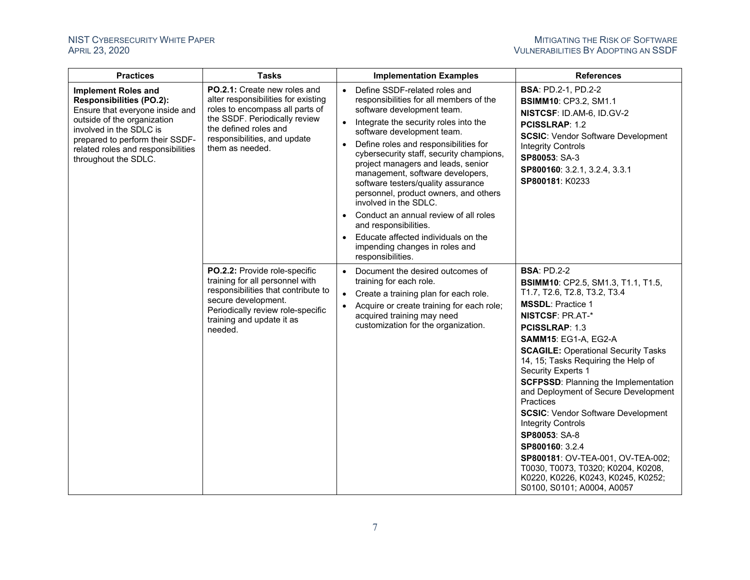| <b>Practices</b>                                                                                                                                                                                                                                            | <b>Tasks</b>                                                                                                                                                                                                        | <b>Implementation Examples</b>                                                                                                                                                                                                                                                                                                                                                                                                                                                                                                                                                                                                                              | <b>References</b>                                                                                                                                                                                                                                                                                                                                                                                                                                                                                                                                                                                                                                                                                 |
|-------------------------------------------------------------------------------------------------------------------------------------------------------------------------------------------------------------------------------------------------------------|---------------------------------------------------------------------------------------------------------------------------------------------------------------------------------------------------------------------|-------------------------------------------------------------------------------------------------------------------------------------------------------------------------------------------------------------------------------------------------------------------------------------------------------------------------------------------------------------------------------------------------------------------------------------------------------------------------------------------------------------------------------------------------------------------------------------------------------------------------------------------------------------|---------------------------------------------------------------------------------------------------------------------------------------------------------------------------------------------------------------------------------------------------------------------------------------------------------------------------------------------------------------------------------------------------------------------------------------------------------------------------------------------------------------------------------------------------------------------------------------------------------------------------------------------------------------------------------------------------|
| <b>Implement Roles and</b><br><b>Responsibilities (PO.2):</b><br>Ensure that everyone inside and<br>outside of the organization<br>involved in the SDLC is<br>prepared to perform their SSDF-<br>related roles and responsibilities<br>throughout the SDLC. | PO.2.1: Create new roles and<br>alter responsibilities for existing<br>roles to encompass all parts of<br>the SSDF. Periodically review<br>the defined roles and<br>responsibilities, and update<br>them as needed. | Define SSDF-related roles and<br>$\bullet$<br>responsibilities for all members of the<br>software development team.<br>Integrate the security roles into the<br>$\bullet$<br>software development team.<br>Define roles and responsibilities for<br>$\bullet$<br>cybersecurity staff, security champions,<br>project managers and leads, senior<br>management, software developers,<br>software testers/quality assurance<br>personnel, product owners, and others<br>involved in the SDLC.<br>Conduct an annual review of all roles<br>and responsibilities.<br>Educate affected individuals on the<br>impending changes in roles and<br>responsibilities. | <b>BSA: PD.2-1, PD.2-2</b><br><b>BSIMM10: CP3.2, SM1.1</b><br>NISTCSF: ID.AM-6, ID.GV-2<br>PCISSLRAP: 1.2<br><b>SCSIC: Vendor Software Development</b><br><b>Integrity Controls</b><br>SP80053: SA-3<br>SP800160: 3.2.1, 3.2.4, 3.3.1<br>SP800181: K0233                                                                                                                                                                                                                                                                                                                                                                                                                                          |
|                                                                                                                                                                                                                                                             | PO.2.2: Provide role-specific<br>training for all personnel with<br>responsibilities that contribute to<br>secure development.<br>Periodically review role-specific<br>training and update it as<br>needed.         | Document the desired outcomes of<br>$\bullet$<br>training for each role.<br>Create a training plan for each role.<br>$\bullet$<br>Acquire or create training for each role;<br>acquired training may need<br>customization for the organization.                                                                                                                                                                                                                                                                                                                                                                                                            | <b>BSA: PD.2-2</b><br><b>BSIMM10: CP2.5, SM1.3, T1.1, T1.5,</b><br>T1.7, T2.6, T2.8, T3.2, T3.4<br><b>MSSDL: Practice 1</b><br><b>NISTCSF: PR.AT-*</b><br><b>PCISSLRAP: 1.3</b><br><b>SAMM15: EG1-A, EG2-A</b><br><b>SCAGILE: Operational Security Tasks</b><br>14, 15; Tasks Requiring the Help of<br><b>Security Experts 1</b><br><b>SCFPSSD: Planning the Implementation</b><br>and Deployment of Secure Development<br>Practices<br><b>SCSIC: Vendor Software Development</b><br><b>Integrity Controls</b><br>SP80053: SA-8<br>SP800160: 3.2.4<br>SP800181: OV-TEA-001, OV-TEA-002;<br>T0030, T0073, T0320; K0204, K0208,<br>K0220, K0226, K0243, K0245, K0252;<br>S0100, S0101; A0004, A0057 |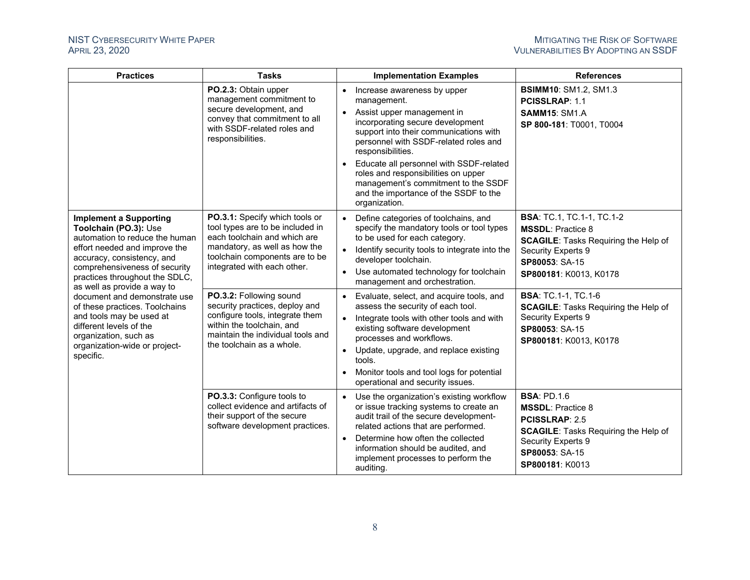| <b>Practices</b>                                                                                                                                                                                                                                                                                                                                                                                                                                          | <b>Tasks</b>                                                                                                                                                                                         | <b>Implementation Examples</b>                                                                                                                                                                                                                                                                                                                                                                                                    | <b>References</b>                                                                                                                                                                 |
|-----------------------------------------------------------------------------------------------------------------------------------------------------------------------------------------------------------------------------------------------------------------------------------------------------------------------------------------------------------------------------------------------------------------------------------------------------------|------------------------------------------------------------------------------------------------------------------------------------------------------------------------------------------------------|-----------------------------------------------------------------------------------------------------------------------------------------------------------------------------------------------------------------------------------------------------------------------------------------------------------------------------------------------------------------------------------------------------------------------------------|-----------------------------------------------------------------------------------------------------------------------------------------------------------------------------------|
|                                                                                                                                                                                                                                                                                                                                                                                                                                                           | PO.2.3: Obtain upper<br>management commitment to<br>secure development, and<br>convey that commitment to all<br>with SSDF-related roles and<br>responsibilities.                                     | Increase awareness by upper<br>$\bullet$<br>management.<br>Assist upper management in<br>$\bullet$<br>incorporating secure development<br>support into their communications with<br>personnel with SSDF-related roles and<br>responsibilities.<br>Educate all personnel with SSDF-related<br>roles and responsibilities on upper<br>management's commitment to the SSDF<br>and the importance of the SSDF to the<br>organization. | <b>BSIMM10: SM1.2, SM1.3</b><br>PCISSLRAP: 1.1<br><b>SAMM15: SM1.A</b><br>SP 800-181: T0001, T0004                                                                                |
| <b>Implement a Supporting</b><br>Toolchain (PO.3): Use<br>automation to reduce the human<br>effort needed and improve the<br>accuracy, consistency, and<br>comprehensiveness of security<br>practices throughout the SDLC,<br>as well as provide a way to<br>document and demonstrate use<br>of these practices. Toolchains<br>and tools may be used at<br>different levels of the<br>organization, such as<br>organization-wide or project-<br>specific. | PO.3.1: Specify which tools or<br>tool types are to be included in<br>each toolchain and which are<br>mandatory, as well as how the<br>toolchain components are to be<br>integrated with each other. | Define categories of toolchains, and<br>$\bullet$<br>specify the mandatory tools or tool types<br>to be used for each category.<br>Identify security tools to integrate into the<br>$\bullet$<br>developer toolchain.<br>Use automated technology for toolchain<br>$\bullet$<br>management and orchestration.                                                                                                                     | <b>BSA: TC.1, TC.1-1, TC.1-2</b><br><b>MSSDL: Practice 8</b><br><b>SCAGILE:</b> Tasks Requiring the Help of<br>Security Experts 9<br>SP80053: SA-15<br>SP800181: K0013, K0178     |
|                                                                                                                                                                                                                                                                                                                                                                                                                                                           | PO.3.2: Following sound<br>security practices, deploy and<br>configure tools, integrate them<br>within the toolchain, and<br>maintain the individual tools and<br>the toolchain as a whole.          | Evaluate, select, and acquire tools, and<br>$\bullet$<br>assess the security of each tool.<br>Integrate tools with other tools and with<br>$\bullet$<br>existing software development<br>processes and workflows.<br>Update, upgrade, and replace existing<br>$\bullet$<br>tools.<br>Monitor tools and tool logs for potential<br>operational and security issues.                                                                | <b>BSA: TC.1-1, TC.1-6</b><br><b>SCAGILE:</b> Tasks Requiring the Help of<br>Security Experts 9<br>SP80053: SA-15<br>SP800181: K0013, K0178                                       |
|                                                                                                                                                                                                                                                                                                                                                                                                                                                           | PO.3.3: Configure tools to<br>collect evidence and artifacts of<br>their support of the secure<br>software development practices.                                                                    | Use the organization's existing workflow<br>$\bullet$<br>or issue tracking systems to create an<br>audit trail of the secure development-<br>related actions that are performed.<br>Determine how often the collected<br>$\bullet$<br>information should be audited, and<br>implement processes to perform the<br>auditing.                                                                                                       | <b>BSA: PD.1.6</b><br><b>MSSDL: Practice 8</b><br>PCISSLRAP: 2.5<br><b>SCAGILE:</b> Tasks Requiring the Help of<br><b>Security Experts 9</b><br>SP80053: SA-15<br>SP800181: K0013 |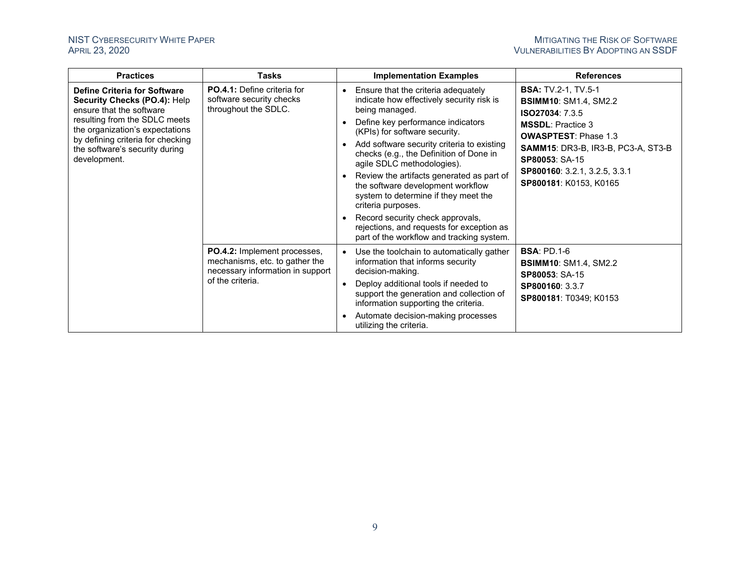| <b>Practices</b>                                                                                                                                                                                                                                    | <b>Tasks</b>                                                                                                           | <b>Implementation Examples</b>                                                                                                                                                                                                                                                                                                                                                                                                                                                                                                                                                                                                                                                                                                                                                                                      | <b>References</b>                  |
|-----------------------------------------------------------------------------------------------------------------------------------------------------------------------------------------------------------------------------------------------------|------------------------------------------------------------------------------------------------------------------------|---------------------------------------------------------------------------------------------------------------------------------------------------------------------------------------------------------------------------------------------------------------------------------------------------------------------------------------------------------------------------------------------------------------------------------------------------------------------------------------------------------------------------------------------------------------------------------------------------------------------------------------------------------------------------------------------------------------------------------------------------------------------------------------------------------------------|------------------------------------|
| Define Criteria for Software<br>Security Checks (PO.4): Help<br>ensure that the software<br>resulting from the SDLC meets<br>the organization's expectations<br>by defining criteria for checking<br>the software's security during<br>development. | <b>PO.4.1:</b> Define criteria for<br>software security checks<br>throughout the SDLC.                                 | <b>BSA:</b> TV.2-1, TV.5-1<br>Ensure that the criteria adequately<br>indicate how effectively security risk is<br><b>BSIMM10: SM1.4, SM2.2</b><br>being managed.<br>ISO27034: 7.3.5<br>Define key performance indicators<br><b>MSSDL: Practice 3</b><br>(KPIs) for software security.<br><b>OWASPTEST: Phase 1.3</b><br>Add software security criteria to existing<br>$\bullet$<br>checks (e.g., the Definition of Done in<br>SP80053: SA-15<br>agile SDLC methodologies).<br>SP800160: 3.2.1, 3.2.5, 3.3.1<br>Review the artifacts generated as part of<br>SP800181: K0153, K0165<br>the software development workflow<br>system to determine if they meet the<br>criteria purposes.<br>Record security check approvals,<br>rejections, and requests for exception as<br>part of the workflow and tracking system. | SAMM15: DR3-B, IR3-B, PC3-A, ST3-B |
|                                                                                                                                                                                                                                                     | PO.4.2: Implement processes,<br>mechanisms, etc. to gather the<br>necessary information in support<br>of the criteria. | <b>BSA: PD.1-6</b><br>Use the toolchain to automatically gather<br>information that informs security<br><b>BSIMM10: SM1.4, SM2.2</b><br>decision-making.<br>SP80053: SA-15<br>Deploy additional tools if needed to<br>$\bullet$<br>SP800160: 3.3.7<br>support the generation and collection of<br>SP800181: T0349; K0153<br>information supporting the criteria.<br>Automate decision-making processes<br>$\bullet$<br>utilizing the criteria.                                                                                                                                                                                                                                                                                                                                                                      |                                    |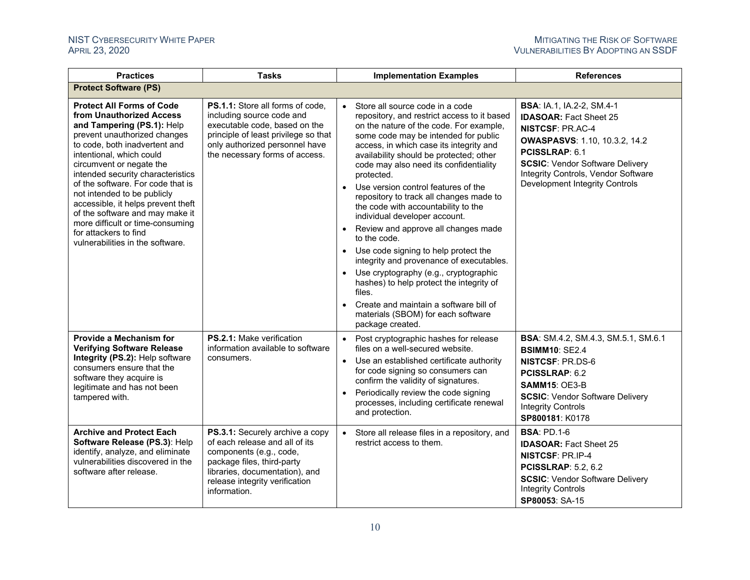| <b>Practices</b>                                                                                                                                                                                                                                                                                                                                                                                                                                                                                       | <b>Tasks</b>                                                                                                                                                                                                   | <b>Implementation Examples</b>                                                                                                                                                                                                                                                                                                                                                                                                                                                                                                                                                                                                                                                                                                                                                                                                                                     | <b>References</b>                                                                                                                                                                                                                                                                |
|--------------------------------------------------------------------------------------------------------------------------------------------------------------------------------------------------------------------------------------------------------------------------------------------------------------------------------------------------------------------------------------------------------------------------------------------------------------------------------------------------------|----------------------------------------------------------------------------------------------------------------------------------------------------------------------------------------------------------------|--------------------------------------------------------------------------------------------------------------------------------------------------------------------------------------------------------------------------------------------------------------------------------------------------------------------------------------------------------------------------------------------------------------------------------------------------------------------------------------------------------------------------------------------------------------------------------------------------------------------------------------------------------------------------------------------------------------------------------------------------------------------------------------------------------------------------------------------------------------------|----------------------------------------------------------------------------------------------------------------------------------------------------------------------------------------------------------------------------------------------------------------------------------|
| <b>Protect Software (PS)</b>                                                                                                                                                                                                                                                                                                                                                                                                                                                                           |                                                                                                                                                                                                                |                                                                                                                                                                                                                                                                                                                                                                                                                                                                                                                                                                                                                                                                                                                                                                                                                                                                    |                                                                                                                                                                                                                                                                                  |
| <b>Protect All Forms of Code</b><br>from Unauthorized Access<br>and Tampering (PS.1): Help<br>prevent unauthorized changes<br>to code, both inadvertent and<br>intentional, which could<br>circumvent or negate the<br>intended security characteristics<br>of the software. For code that is<br>not intended to be publicly<br>accessible, it helps prevent theft<br>of the software and may make it<br>more difficult or time-consuming<br>for attackers to find<br>vulnerabilities in the software. | PS.1.1: Store all forms of code.<br>including source code and<br>executable code, based on the<br>principle of least privilege so that<br>only authorized personnel have<br>the necessary forms of access.     | Store all source code in a code<br>$\bullet$<br>repository, and restrict access to it based<br>on the nature of the code. For example,<br>some code may be intended for public<br>access, in which case its integrity and<br>availability should be protected; other<br>code may also need its confidentiality<br>protected.<br>• Use version control features of the<br>repository to track all changes made to<br>the code with accountability to the<br>individual developer account.<br>• Review and approve all changes made<br>to the code.<br>Use code signing to help protect the<br>$\bullet$<br>integrity and provenance of executables.<br>Use cryptography (e.g., cryptographic<br>hashes) to help protect the integrity of<br>files.<br>Create and maintain a software bill of<br>$\bullet$<br>materials (SBOM) for each software<br>package created. | <b>BSA: IA.1, IA.2-2, SM.4-1</b><br><b>IDASOAR: Fact Sheet 25</b><br><b>NISTCSF: PR.AC-4</b><br><b>OWASPASVS: 1.10, 10.3.2, 14.2</b><br>PCISSLRAP: 6.1<br><b>SCSIC: Vendor Software Delivery</b><br>Integrity Controls, Vendor Software<br><b>Development Integrity Controls</b> |
| Provide a Mechanism for<br><b>Verifying Software Release</b><br>Integrity (PS.2): Help software<br>consumers ensure that the<br>software they acquire is<br>legitimate and has not been<br>tampered with.                                                                                                                                                                                                                                                                                              | PS.2.1: Make verification<br>information available to software<br>consumers.                                                                                                                                   | Post cryptographic hashes for release<br>$\bullet$<br>files on a well-secured website.<br>Use an established certificate authority<br>$\bullet$<br>for code signing so consumers can<br>confirm the validity of signatures.<br>Periodically review the code signing<br>$\bullet$<br>processes, including certificate renewal<br>and protection.                                                                                                                                                                                                                                                                                                                                                                                                                                                                                                                    | BSA: SM.4.2, SM.4.3, SM.5.1, SM.6.1<br><b>BSIMM10: SE2.4</b><br><b>NISTCSF: PR.DS-6</b><br>PCISSLRAP: 6.2<br>SAMM15: OE3-B<br><b>SCSIC: Vendor Software Delivery</b><br><b>Integrity Controls</b><br>SP800181: K0178                                                             |
| <b>Archive and Protect Each</b><br>Software Release (PS.3): Help<br>identify, analyze, and eliminate<br>vulnerabilities discovered in the<br>software after release.                                                                                                                                                                                                                                                                                                                                   | PS.3.1: Securely archive a copy<br>of each release and all of its<br>components (e.g., code,<br>package files, third-party<br>libraries, documentation), and<br>release integrity verification<br>information. | Store all release files in a repository, and<br>$\bullet$<br>restrict access to them.                                                                                                                                                                                                                                                                                                                                                                                                                                                                                                                                                                                                                                                                                                                                                                              | <b>BSA: PD.1-6</b><br><b>IDASOAR: Fact Sheet 25</b><br><b>NISTCSF: PR.IP-4</b><br><b>PCISSLRAP: 5.2, 6.2</b><br><b>SCSIC: Vendor Software Delivery</b><br><b>Integrity Controls</b><br>SP80053: SA-15                                                                            |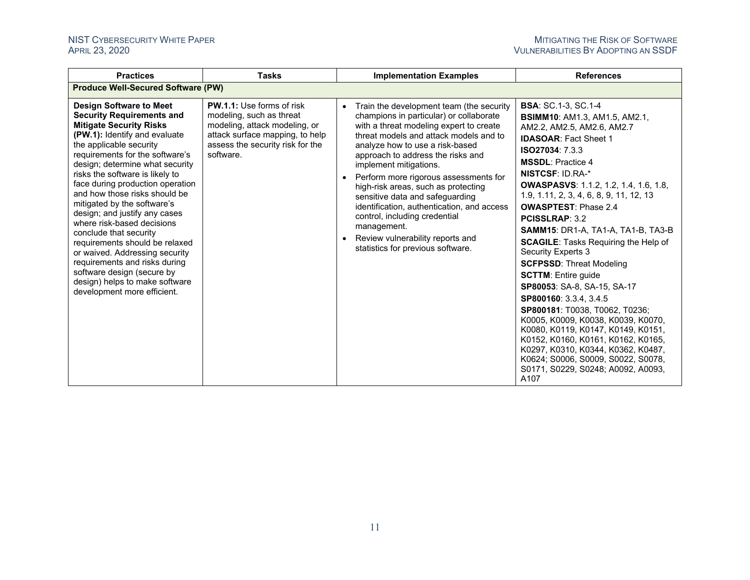| <b>Practices</b>                                                                                                                                                                                                                                                                                                                                                                                                                                                                                                                                                                                                                                                           | <b>Tasks</b>                                                                                                                                                                      | <b>Implementation Examples</b>                                                                                                                                                                                                                                                                                                                                                                                                                                                                                                                                             | <b>References</b>                                                                                                                                                                                                                                                                                                                                                                                                                                                                                                                                                                                                                                                                                                                                                                                                                                                                                     |  |  |  |
|----------------------------------------------------------------------------------------------------------------------------------------------------------------------------------------------------------------------------------------------------------------------------------------------------------------------------------------------------------------------------------------------------------------------------------------------------------------------------------------------------------------------------------------------------------------------------------------------------------------------------------------------------------------------------|-----------------------------------------------------------------------------------------------------------------------------------------------------------------------------------|----------------------------------------------------------------------------------------------------------------------------------------------------------------------------------------------------------------------------------------------------------------------------------------------------------------------------------------------------------------------------------------------------------------------------------------------------------------------------------------------------------------------------------------------------------------------------|-------------------------------------------------------------------------------------------------------------------------------------------------------------------------------------------------------------------------------------------------------------------------------------------------------------------------------------------------------------------------------------------------------------------------------------------------------------------------------------------------------------------------------------------------------------------------------------------------------------------------------------------------------------------------------------------------------------------------------------------------------------------------------------------------------------------------------------------------------------------------------------------------------|--|--|--|
| <b>Produce Well-Secured Software (PW)</b>                                                                                                                                                                                                                                                                                                                                                                                                                                                                                                                                                                                                                                  |                                                                                                                                                                                   |                                                                                                                                                                                                                                                                                                                                                                                                                                                                                                                                                                            |                                                                                                                                                                                                                                                                                                                                                                                                                                                                                                                                                                                                                                                                                                                                                                                                                                                                                                       |  |  |  |
| <b>Design Software to Meet</b><br><b>Security Requirements and</b><br><b>Mitigate Security Risks</b><br>(PW.1): Identify and evaluate<br>the applicable security<br>requirements for the software's<br>design; determine what security<br>risks the software is likely to<br>face during production operation<br>and how those risks should be<br>mitigated by the software's<br>design; and justify any cases<br>where risk-based decisions<br>conclude that security<br>requirements should be relaxed<br>or waived. Addressing security<br>requirements and risks during<br>software design (secure by<br>design) helps to make software<br>development more efficient. | <b>PW.1.1:</b> Use forms of risk<br>modeling, such as threat<br>modeling, attack modeling, or<br>attack surface mapping, to help<br>assess the security risk for the<br>software. | • Train the development team (the security<br>champions in particular) or collaborate<br>with a threat modeling expert to create<br>threat models and attack models and to<br>analyze how to use a risk-based<br>approach to address the risks and<br>implement mitigations.<br>• Perform more rigorous assessments for<br>high-risk areas, such as protecting<br>sensitive data and safeguarding<br>identification, authentication, and access<br>control, including credential<br>management.<br>• Review vulnerability reports and<br>statistics for previous software. | <b>BSA: SC.1-3, SC.1-4</b><br><b>BSIMM10: AM1.3, AM1.5, AM2.1,</b><br>AM2.2, AM2.5, AM2.6, AM2.7<br><b>IDASOAR: Fact Sheet 1</b><br><b>ISO27034: 7.3.3</b><br><b>MSSDL:</b> Practice 4<br><b>NISTCSF: ID.RA-*</b><br><b>OWASPASVS:</b> 1.1.2, 1.2, 1.4, 1.6, 1.8,<br>1.9, 1.11, 2, 3, 4, 6, 8, 9, 11, 12, 13<br><b>OWASPTEST: Phase 2.4</b><br><b>PCISSLRAP: 3.2</b><br><b>SAMM15: DR1-A, TA1-A, TA1-B, TA3-B</b><br><b>SCAGILE:</b> Tasks Requiring the Help of<br><b>Security Experts 3</b><br><b>SCFPSSD: Threat Modeling</b><br><b>SCTTM: Entire guide</b><br>SP80053: SA-8, SA-15, SA-17<br>SP800160: 3.3.4, 3.4.5<br>SP800181: T0038, T0062, T0236;<br>K0005, K0009, K0038, K0039, K0070,<br>K0080, K0119, K0147, K0149, K0151,<br>K0152, K0160, K0161, K0162, K0165,<br>K0297, K0310, K0344, K0362, K0487,<br>K0624; S0006, S0009, S0022, S0078,<br>S0171, S0229, S0248; A0092, A0093,<br>A107 |  |  |  |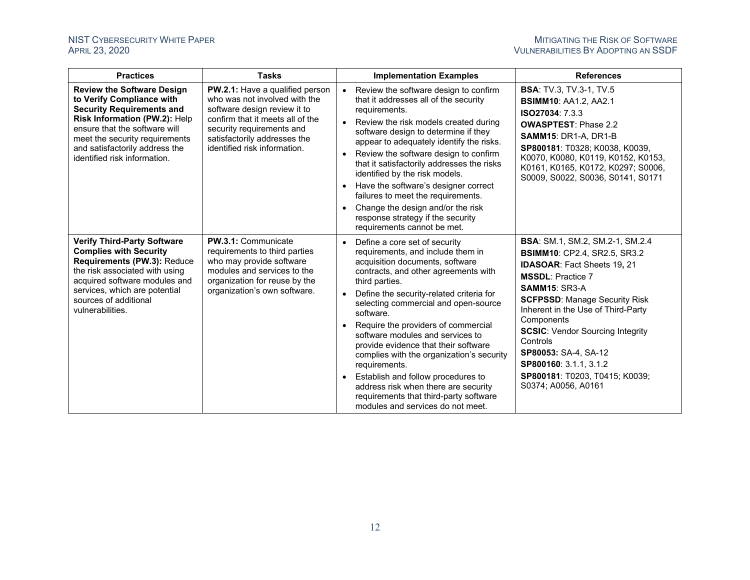| <b>Practices</b>                                                                                                                                                                                                                                                         | <b>Tasks</b>                                                                                                                                                                                                                             | <b>Implementation Examples</b>                                                                                                                                                                                                                                                                                                                                                                                                                                                                                                                                                                                                                                                  | <b>References</b>                                                                                                                                                                                                                                                                                                                                                                                    |
|--------------------------------------------------------------------------------------------------------------------------------------------------------------------------------------------------------------------------------------------------------------------------|------------------------------------------------------------------------------------------------------------------------------------------------------------------------------------------------------------------------------------------|---------------------------------------------------------------------------------------------------------------------------------------------------------------------------------------------------------------------------------------------------------------------------------------------------------------------------------------------------------------------------------------------------------------------------------------------------------------------------------------------------------------------------------------------------------------------------------------------------------------------------------------------------------------------------------|------------------------------------------------------------------------------------------------------------------------------------------------------------------------------------------------------------------------------------------------------------------------------------------------------------------------------------------------------------------------------------------------------|
| <b>Review the Software Design</b><br>to Verify Compliance with<br><b>Security Requirements and</b><br>Risk Information (PW.2): Help<br>ensure that the software will<br>meet the security requirements<br>and satisfactorily address the<br>identified risk information. | <b>PW.2.1:</b> Have a qualified person<br>who was not involved with the<br>software design review it to<br>confirm that it meets all of the<br>security requirements and<br>satisfactorily addresses the<br>identified risk information. | Review the software design to confirm<br>that it addresses all of the security<br>requirements.<br>Review the risk models created during<br>software design to determine if they<br>appear to adequately identify the risks.<br>Review the software design to confirm<br>that it satisfactorily addresses the risks<br>identified by the risk models.<br>Have the software's designer correct<br>$\bullet$<br>failures to meet the requirements.<br>Change the design and/or the risk<br>$\bullet$<br>response strategy if the security<br>requirements cannot be met.                                                                                                          | <b>BSA: TV.3, TV.3-1, TV.5</b><br><b>BSIMM10: AA1.2, AA2.1</b><br>ISO27034: 7.3.3<br><b>OWASPTEST: Phase 2.2</b><br>SAMM15: DR1-A, DR1-B<br>SP800181: T0328; K0038, K0039,<br>K0070, K0080, K0119, K0152, K0153,<br>K0161, K0165, K0172, K0297; S0006,<br>S0009, S0022, S0036, S0141, S0171                                                                                                          |
| <b>Verify Third-Party Software</b><br><b>Complies with Security</b><br>Requirements (PW.3): Reduce<br>the risk associated with using<br>acquired software modules and<br>services, which are potential<br>sources of additional<br>vulnerabilities.                      | <b>PW.3.1: Communicate</b><br>requirements to third parties<br>who may provide software<br>modules and services to the<br>organization for reuse by the<br>organization's own software.                                                  | Define a core set of security<br>$\bullet$<br>requirements, and include them in<br>acquisition documents, software<br>contracts, and other agreements with<br>third parties.<br>Define the security-related criteria for<br>selecting commercial and open-source<br>software.<br>Components<br>Require the providers of commercial<br>$\bullet$<br>software modules and services to<br>Controls<br>provide evidence that their software<br>complies with the organization's security<br>requirements.<br>Establish and follow procedures to<br>$\bullet$<br>address risk when there are security<br>requirements that third-party software<br>modules and services do not meet. | <b>BSA:</b> SM.1, SM.2, SM.2-1, SM.2.4<br><b>BSIMM10: CP2.4, SR2.5, SR3.2</b><br><b>IDASOAR: Fact Sheets 19, 21</b><br><b>MSSDL: Practice 7</b><br>SAMM15: SR3-A<br><b>SCFPSSD: Manage Security Risk</b><br>Inherent in the Use of Third-Party<br><b>SCSIC:</b> Vendor Sourcing Integrity<br>SP80053: SA-4, SA-12<br>SP800160: 3.1.1, 3.1.2<br>SP800181: T0203, T0415; K0039;<br>S0374; A0056, A0161 |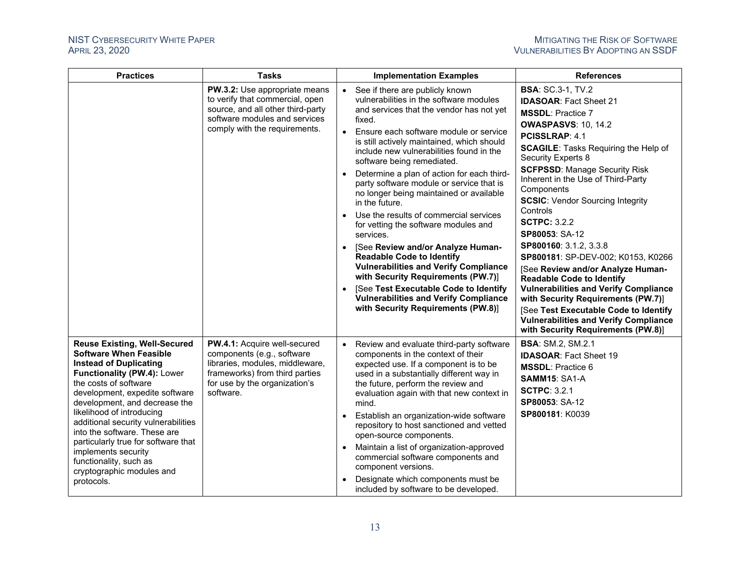| <b>Practices</b>                                                                                                                                                                                                                                                                                                                                                                                                                                                        | <b>Tasks</b>                                                                                                                                                                  | <b>Implementation Examples</b>                                                                                                                                                                                                                                                                                                                                                                                                                                                                                                                                                                                                                                                                                                                                                                                                                                                                | <b>References</b>                                                                                                                                                                                                                                                                                                                                                                                                                                                                                                                                                                                                                                                                                                                                                           |
|-------------------------------------------------------------------------------------------------------------------------------------------------------------------------------------------------------------------------------------------------------------------------------------------------------------------------------------------------------------------------------------------------------------------------------------------------------------------------|-------------------------------------------------------------------------------------------------------------------------------------------------------------------------------|-----------------------------------------------------------------------------------------------------------------------------------------------------------------------------------------------------------------------------------------------------------------------------------------------------------------------------------------------------------------------------------------------------------------------------------------------------------------------------------------------------------------------------------------------------------------------------------------------------------------------------------------------------------------------------------------------------------------------------------------------------------------------------------------------------------------------------------------------------------------------------------------------|-----------------------------------------------------------------------------------------------------------------------------------------------------------------------------------------------------------------------------------------------------------------------------------------------------------------------------------------------------------------------------------------------------------------------------------------------------------------------------------------------------------------------------------------------------------------------------------------------------------------------------------------------------------------------------------------------------------------------------------------------------------------------------|
|                                                                                                                                                                                                                                                                                                                                                                                                                                                                         | PW.3.2: Use appropriate means<br>to verify that commercial, open<br>source, and all other third-party<br>software modules and services<br>comply with the requirements.       | See if there are publicly known<br>$\bullet$<br>vulnerabilities in the software modules<br>and services that the vendor has not yet<br>fixed.<br>Ensure each software module or service<br>$\bullet$<br>is still actively maintained, which should<br>include new vulnerabilities found in the<br>software being remediated.<br>Determine a plan of action for each third-<br>party software module or service that is<br>no longer being maintained or available<br>in the future.<br>Use the results of commercial services<br>$\bullet$<br>for vetting the software modules and<br>services.<br>[See Review and/or Analyze Human-<br><b>Readable Code to Identify</b><br><b>Vulnerabilities and Verify Compliance</b><br>with Security Requirements (PW.7)]<br>[See Test Executable Code to Identify<br><b>Vulnerabilities and Verify Compliance</b><br>with Security Requirements (PW.8)] | <b>BSA: SC.3-1, TV.2</b><br><b>IDASOAR: Fact Sheet 21</b><br><b>MSSDL: Practice 7</b><br><b>OWASPASVS: 10, 14.2</b><br><b>PCISSLRAP: 4.1</b><br><b>SCAGILE:</b> Tasks Requiring the Help of<br>Security Experts 8<br><b>SCFPSSD: Manage Security Risk</b><br>Inherent in the Use of Third-Party<br>Components<br><b>SCSIC:</b> Vendor Sourcing Integrity<br>Controls<br><b>SCTPC: 3.2.2</b><br>SP80053: SA-12<br>SP800160: 3.1.2, 3.3.8<br>SP800181: SP-DEV-002; K0153, K0266<br>[See Review and/or Analyze Human-<br><b>Readable Code to Identify</b><br><b>Vulnerabilities and Verify Compliance</b><br>with Security Requirements (PW.7)]<br>[See Test Executable Code to Identify<br><b>Vulnerabilities and Verify Compliance</b><br>with Security Requirements (PW.8)] |
| <b>Reuse Existing, Well-Secured</b><br><b>Software When Feasible</b><br><b>Instead of Duplicating</b><br>Functionality (PW.4): Lower<br>the costs of software<br>development, expedite software<br>development, and decrease the<br>likelihood of introducing<br>additional security vulnerabilities<br>into the software. These are<br>particularly true for software that<br>implements security<br>functionality, such as<br>cryptographic modules and<br>protocols. | PW.4.1: Acquire well-secured<br>components (e.g., software<br>libraries, modules, middleware,<br>frameworks) from third parties<br>for use by the organization's<br>software. | Review and evaluate third-party software<br>$\bullet$<br>components in the context of their<br>expected use. If a component is to be<br>used in a substantially different way in<br>the future, perform the review and<br>evaluation again with that new context in<br>mind.<br>Establish an organization-wide software<br>repository to host sanctioned and vetted<br>open-source components.<br>Maintain a list of organization-approved<br>$\bullet$<br>commercial software components and<br>component versions.<br>Designate which components must be<br>included by software to be developed.                                                                                                                                                                                                                                                                                           | <b>BSA: SM.2, SM.2.1</b><br><b>IDASOAR: Fact Sheet 19</b><br><b>MSSDL: Practice 6</b><br>SAMM15: SA1-A<br><b>SCTPC: 3.2.1</b><br>SP80053: SA-12<br>SP800181: K0039                                                                                                                                                                                                                                                                                                                                                                                                                                                                                                                                                                                                          |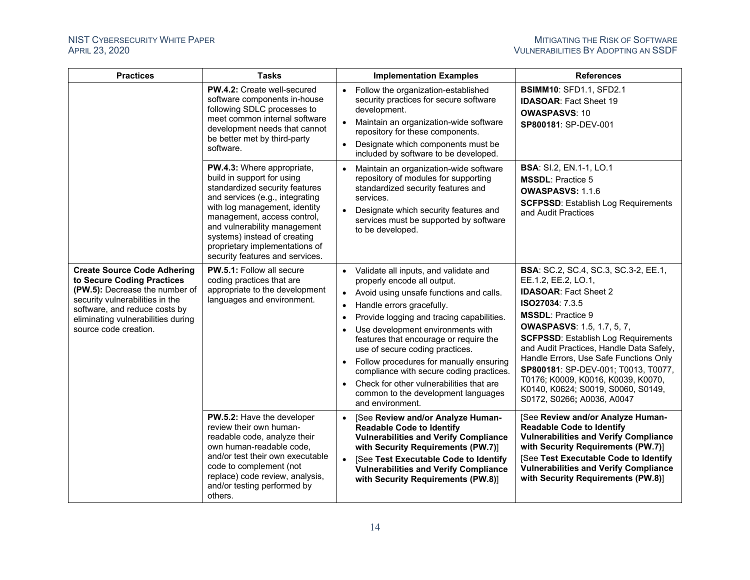<span id="page-16-0"></span>

| <b>Practices</b>                                                                                                                                                                                                                      | <b>Tasks</b>                                                                                                                                                                                                                                                                                                                       | <b>Implementation Examples</b>                                                                                                                                                                                                                                                                                                                                                                                                                                                                                                            | <b>References</b>                                                                                                                                                                                                                                                                                                                                                                                                                                                           |
|---------------------------------------------------------------------------------------------------------------------------------------------------------------------------------------------------------------------------------------|------------------------------------------------------------------------------------------------------------------------------------------------------------------------------------------------------------------------------------------------------------------------------------------------------------------------------------|-------------------------------------------------------------------------------------------------------------------------------------------------------------------------------------------------------------------------------------------------------------------------------------------------------------------------------------------------------------------------------------------------------------------------------------------------------------------------------------------------------------------------------------------|-----------------------------------------------------------------------------------------------------------------------------------------------------------------------------------------------------------------------------------------------------------------------------------------------------------------------------------------------------------------------------------------------------------------------------------------------------------------------------|
|                                                                                                                                                                                                                                       | PW.4.2: Create well-secured<br>software components in-house<br>following SDLC processes to<br>meet common internal software<br>development needs that cannot<br>be better met by third-party<br>software.                                                                                                                          | Follow the organization-established<br>$\bullet$<br>security practices for secure software<br>development.<br>Maintain an organization-wide software<br>$\bullet$<br>repository for these components.<br>Designate which components must be<br>$\bullet$<br>included by software to be developed.                                                                                                                                                                                                                                         | <b>BSIMM10: SFD1.1, SFD2.1</b><br><b>IDASOAR: Fact Sheet 19</b><br><b>OWASPASVS: 10</b><br>SP800181: SP-DEV-001                                                                                                                                                                                                                                                                                                                                                             |
|                                                                                                                                                                                                                                       | PW.4.3: Where appropriate,<br>build in support for using<br>standardized security features<br>and services (e.g., integrating<br>with log management, identity<br>management, access control,<br>and vulnerability management<br>systems) instead of creating<br>proprietary implementations of<br>security features and services. | Maintain an organization-wide software<br>$\bullet$<br>repository of modules for supporting<br>standardized security features and<br>services.<br>Designate which security features and<br>$\bullet$<br>services must be supported by software<br>to be developed.                                                                                                                                                                                                                                                                        | <b>BSA: SI.2, EN.1-1, LO.1</b><br><b>MSSDL: Practice 5</b><br><b>OWASPASVS: 1.1.6</b><br><b>SCFPSSD: Establish Log Requirements</b><br>and Audit Practices                                                                                                                                                                                                                                                                                                                  |
| <b>Create Source Code Adhering</b><br>to Secure Coding Practices<br>(PW.5): Decrease the number of<br>security vulnerabilities in the<br>software, and reduce costs by<br>eliminating vulnerabilities during<br>source code creation. | <b>PW.5.1: Follow all secure</b><br>coding practices that are<br>appropriate to the development<br>languages and environment.                                                                                                                                                                                                      | • Validate all inputs, and validate and<br>properly encode all output.<br>• Avoid using unsafe functions and calls.<br>Handle errors gracefully.<br>Provide logging and tracing capabilities.<br>Use development environments with<br>$\bullet$<br>features that encourage or require the<br>use of secure coding practices.<br>• Follow procedures for manually ensuring<br>compliance with secure coding practices.<br>Check for other vulnerabilities that are<br>$\bullet$<br>common to the development languages<br>and environment. | <b>BSA:</b> SC.2, SC.4, SC.3, SC.3-2, EE.1,<br>EE.1.2, EE.2, LO.1,<br><b>IDASOAR: Fact Sheet 2</b><br>ISO27034: 7.3.5<br><b>MSSDL: Practice 9</b><br><b>OWASPASVS: 1.5, 1.7, 5, 7,</b><br><b>SCFPSSD: Establish Log Requirements</b><br>and Audit Practices, Handle Data Safely,<br>Handle Errors, Use Safe Functions Only<br>SP800181: SP-DEV-001; T0013, T0077,<br>T0176; K0009, K0016, K0039, K0070,<br>K0140, K0624; S0019, S0060, S0149,<br>S0172, S0266; A0036, A0047 |
|                                                                                                                                                                                                                                       | PW.5.2: Have the developer<br>review their own human-<br>readable code, analyze their<br>own human-readable code,<br>and/or test their own executable<br>code to complement (not<br>replace) code review, analysis,<br>and/or testing performed by<br>others.                                                                      | [See Review and/or Analyze Human-<br>$\bullet$<br><b>Readable Code to Identify</b><br><b>Vulnerabilities and Verify Compliance</b><br>with Security Requirements (PW.7)]<br>• [See Test Executable Code to Identify<br><b>Vulnerabilities and Verify Compliance</b><br>with Security Requirements (PW.8)]                                                                                                                                                                                                                                 | [See Review and/or Analyze Human-<br><b>Readable Code to Identify</b><br><b>Vulnerabilities and Verify Compliance</b><br>with Security Requirements (PW.7)]<br>[See Test Executable Code to Identify<br><b>Vulnerabilities and Verify Compliance</b><br>with Security Requirements (PW.8)]                                                                                                                                                                                  |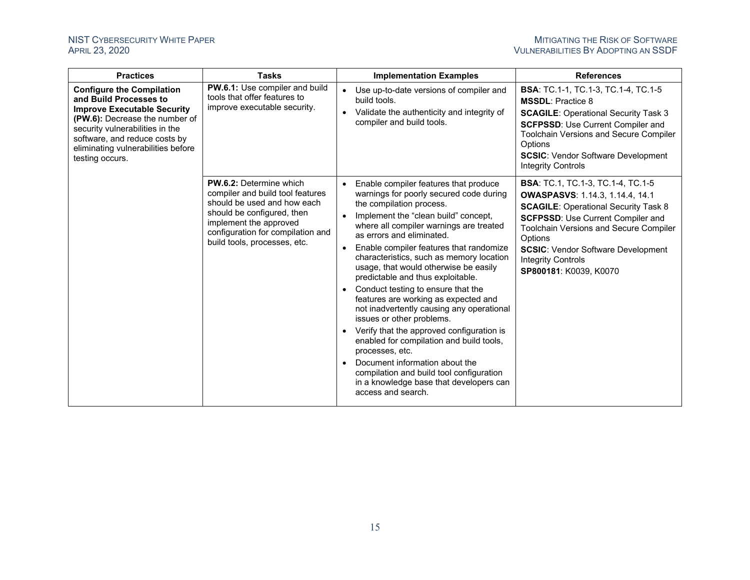| <b>Practices</b>                                                                                                                                                                                                                                                | <b>Tasks</b>                                                                                                                                                                                                                   |           | <b>Implementation Examples</b>                                                                                                                                                                                                                                                                                                                                                                                                                                                                                                                                                                                                                                                                                                                                                                                       | <b>References</b>                                                                                                                                                                                                                                                                                                                             |
|-----------------------------------------------------------------------------------------------------------------------------------------------------------------------------------------------------------------------------------------------------------------|--------------------------------------------------------------------------------------------------------------------------------------------------------------------------------------------------------------------------------|-----------|----------------------------------------------------------------------------------------------------------------------------------------------------------------------------------------------------------------------------------------------------------------------------------------------------------------------------------------------------------------------------------------------------------------------------------------------------------------------------------------------------------------------------------------------------------------------------------------------------------------------------------------------------------------------------------------------------------------------------------------------------------------------------------------------------------------------|-----------------------------------------------------------------------------------------------------------------------------------------------------------------------------------------------------------------------------------------------------------------------------------------------------------------------------------------------|
| <b>Configure the Compilation</b><br>and Build Processes to<br><b>Improve Executable Security</b><br>(PW.6): Decrease the number of<br>security vulnerabilities in the<br>software, and reduce costs by<br>eliminating vulnerabilities before<br>testing occurs. | PW.6.1: Use compiler and build<br>tools that offer features to<br>improve executable security.                                                                                                                                 |           | Use up-to-date versions of compiler and<br>build tools.<br>Validate the authenticity and integrity of<br>compiler and build tools.                                                                                                                                                                                                                                                                                                                                                                                                                                                                                                                                                                                                                                                                                   | <b>BSA: TC.1-1, TC.1-3, TC.1-4, TC.1-5</b><br><b>MSSDL: Practice 8</b><br><b>SCAGILE: Operational Security Task 3</b><br><b>SCFPSSD: Use Current Compiler and</b><br><b>Toolchain Versions and Secure Compiler</b><br>Options<br><b>SCSIC: Vendor Software Development</b><br><b>Integrity Controls</b>                                       |
|                                                                                                                                                                                                                                                                 | <b>PW.6.2: Determine which</b><br>compiler and build tool features<br>should be used and how each<br>should be configured, then<br>implement the approved<br>configuration for compilation and<br>build tools, processes, etc. | $\bullet$ | Enable compiler features that produce<br>warnings for poorly secured code during<br>the compilation process.<br>Implement the "clean build" concept,<br>where all compiler warnings are treated<br>as errors and eliminated.<br>Enable compiler features that randomize<br>characteristics, such as memory location<br>usage, that would otherwise be easily<br>predictable and thus exploitable.<br>Conduct testing to ensure that the<br>features are working as expected and<br>not inadvertently causing any operational<br>issues or other problems.<br>Verify that the approved configuration is<br>enabled for compilation and build tools,<br>processes, etc.<br>Document information about the<br>compilation and build tool configuration<br>in a knowledge base that developers can<br>access and search. | <b>BSA: TC.1, TC.1-3, TC.1-4, TC.1-5</b><br><b>OWASPASVS: 1.14.3, 1.14.4, 14.1</b><br><b>SCAGILE: Operational Security Task 8</b><br><b>SCFPSSD: Use Current Compiler and</b><br><b>Toolchain Versions and Secure Compiler</b><br>Options<br><b>SCSIC:</b> Vendor Software Development<br><b>Integrity Controls</b><br>SP800181: K0039, K0070 |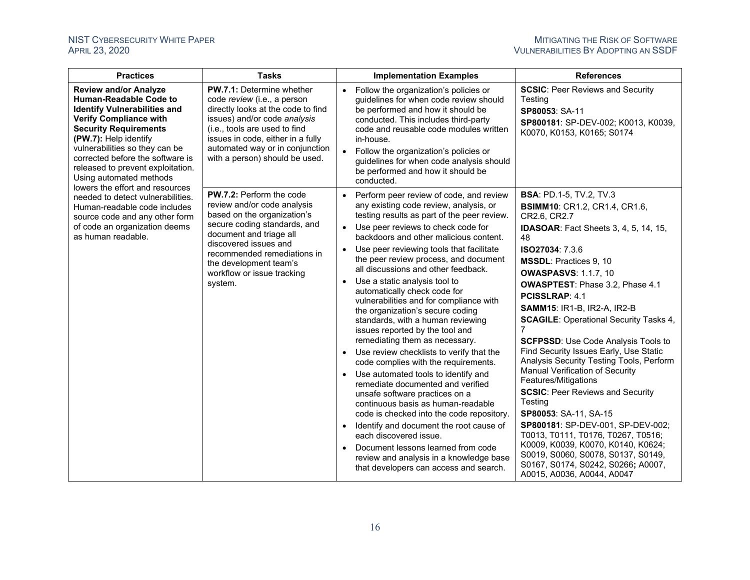<span id="page-18-0"></span>

| <b>Practices</b>                                                                                                                                                                                                                                                                                                                     | <b>Tasks</b>                                                                                                                                                                                                                                                                     |                        | <b>Implementation Examples</b>                                                                                                                                                                                                                                                                                                                              | <b>References</b>                                                                                                                                                                                                                            |
|--------------------------------------------------------------------------------------------------------------------------------------------------------------------------------------------------------------------------------------------------------------------------------------------------------------------------------------|----------------------------------------------------------------------------------------------------------------------------------------------------------------------------------------------------------------------------------------------------------------------------------|------------------------|-------------------------------------------------------------------------------------------------------------------------------------------------------------------------------------------------------------------------------------------------------------------------------------------------------------------------------------------------------------|----------------------------------------------------------------------------------------------------------------------------------------------------------------------------------------------------------------------------------------------|
| <b>Review and/or Analyze</b><br><b>Human-Readable Code to</b><br><b>Identify Vulnerabilities and</b><br><b>Verify Compliance with</b><br><b>Security Requirements</b><br>(PW.7): Help identify<br>vulnerabilities so they can be<br>corrected before the software is<br>released to prevent exploitation.<br>Using automated methods | <b>PW.7.1: Determine whether</b><br>code review (i.e., a person<br>directly looks at the code to find<br>issues) and/or code analysis<br>(i.e., tools are used to find<br>issues in code, either in a fully<br>automated way or in conjunction<br>with a person) should be used. | $\bullet$<br>$\bullet$ | Follow the organization's policies or<br>guidelines for when code review should<br>be performed and how it should be<br>conducted. This includes third-party<br>code and reusable code modules written<br>in-house.<br>Follow the organization's policies or<br>guidelines for when code analysis should<br>be performed and how it should be<br>conducted. | <b>SCSIC: Peer Reviews and Security</b><br>Testing<br>SP80053: SA-11<br>SP800181: SP-DEV-002; K0013, K0039,<br>K0070, K0153, K0165; S0174                                                                                                    |
| lowers the effort and resources<br>needed to detect vulnerabilities.<br>Human-readable code includes<br>source code and any other form                                                                                                                                                                                               | PW.7.2: Perform the code<br>review and/or code analysis<br>based on the organization's<br>secure coding standards, and<br>document and triage all<br>discovered issues and<br>recommended remediations in<br>the development team's<br>workflow or issue tracking<br>system.     |                        | Perform peer review of code, and review<br>any existing code review, analysis, or<br>testing results as part of the peer review.                                                                                                                                                                                                                            | <b>BSA: PD.1-5, TV.2, TV.3</b><br><b>BSIMM10: CR1.2, CR1.4, CR1.6,</b><br>CR2.6, CR2.7                                                                                                                                                       |
| of code an organization deems<br>as human readable.                                                                                                                                                                                                                                                                                  |                                                                                                                                                                                                                                                                                  | $\bullet$              | Use peer reviews to check code for<br>backdoors and other malicious content.                                                                                                                                                                                                                                                                                | <b>IDASOAR:</b> Fact Sheets 3, 4, 5, 14, 15,<br>48                                                                                                                                                                                           |
|                                                                                                                                                                                                                                                                                                                                      |                                                                                                                                                                                                                                                                                  |                        | Use peer reviewing tools that facilitate<br>the peer review process, and document<br>all discussions and other feedback.                                                                                                                                                                                                                                    | ISO27034: 7.3.6<br>MSSDL: Practices 9, 10<br><b>OWASPASVS: 1.1.7, 10</b>                                                                                                                                                                     |
|                                                                                                                                                                                                                                                                                                                                      |                                                                                                                                                                                                                                                                                  | $\bullet$<br>$\bullet$ | Use a static analysis tool to<br>automatically check code for<br>vulnerabilities and for compliance with<br>the organization's secure coding<br>standards, with a human reviewing<br>issues reported by the tool and<br>remediating them as necessary.<br>Use review checklists to verify that the                                                          | <b>OWASPTEST: Phase 3.2, Phase 4.1</b><br>PCISSLRAP: 4.1<br><b>SAMM15: IR1-B, IR2-A, IR2-B</b><br><b>SCAGILE: Operational Security Tasks 4,</b><br>7<br><b>SCFPSSD: Use Code Analysis Tools to</b><br>Find Security Issues Early, Use Static |
|                                                                                                                                                                                                                                                                                                                                      |                                                                                                                                                                                                                                                                                  | $\bullet$              | code complies with the requirements.<br>Use automated tools to identify and<br>remediate documented and verified<br>unsafe software practices on a<br>continuous basis as human-readable<br>code is checked into the code repository.                                                                                                                       | Analysis Security Testing Tools, Perform<br>Manual Verification of Security<br>Features/Mitigations<br><b>SCSIC: Peer Reviews and Security</b><br>Testing<br>SP80053: SA-11, SA-15                                                           |
|                                                                                                                                                                                                                                                                                                                                      |                                                                                                                                                                                                                                                                                  |                        | Identify and document the root cause of<br>each discovered issue.<br>Document lessons learned from code<br>review and analysis in a knowledge base<br>that developers can access and search.                                                                                                                                                                | SP800181: SP-DEV-001, SP-DEV-002;<br>T0013, T0111, T0176, T0267, T0516;<br>K0009, K0039, K0070, K0140, K0624;<br>S0019, S0060, S0078, S0137, S0149,<br>S0167, S0174, S0242, S0266; A0007,<br>A0015, A0036, A0044, A0047                      |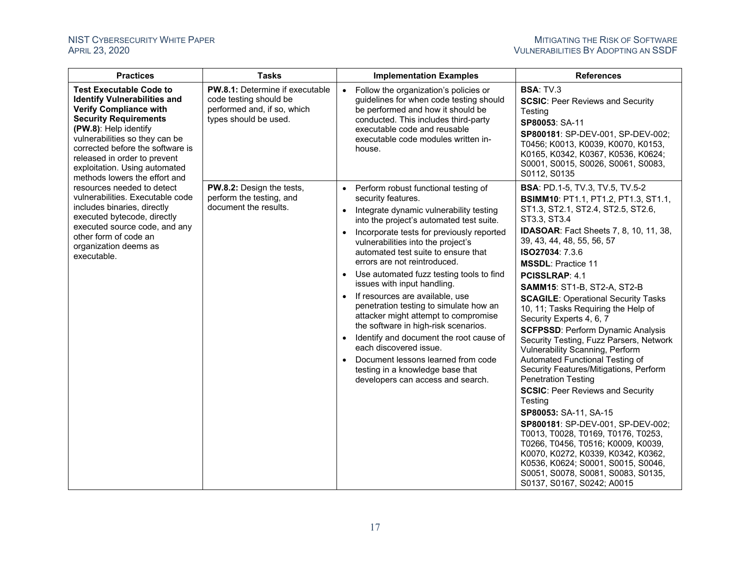<span id="page-19-0"></span>

| <b>Practices</b>                                                                                                                                                                                                                                                                                                                        | <b>Tasks</b>                                                                                                             | <b>Implementation Examples</b>                                                                                                                                                                                                                                                                                                                                                                                                                                                                                                                                                                                                                                                                                                                                                                           | <b>References</b>                                                                                                                                                                                                                                                                                                                                                                                                                                                                                                                                                                                                                                                                                                                                                                                                                                                                                                                                                                                                                                      |
|-----------------------------------------------------------------------------------------------------------------------------------------------------------------------------------------------------------------------------------------------------------------------------------------------------------------------------------------|--------------------------------------------------------------------------------------------------------------------------|----------------------------------------------------------------------------------------------------------------------------------------------------------------------------------------------------------------------------------------------------------------------------------------------------------------------------------------------------------------------------------------------------------------------------------------------------------------------------------------------------------------------------------------------------------------------------------------------------------------------------------------------------------------------------------------------------------------------------------------------------------------------------------------------------------|--------------------------------------------------------------------------------------------------------------------------------------------------------------------------------------------------------------------------------------------------------------------------------------------------------------------------------------------------------------------------------------------------------------------------------------------------------------------------------------------------------------------------------------------------------------------------------------------------------------------------------------------------------------------------------------------------------------------------------------------------------------------------------------------------------------------------------------------------------------------------------------------------------------------------------------------------------------------------------------------------------------------------------------------------------|
| <b>Test Executable Code to</b><br><b>Identify Vulnerabilities and</b><br><b>Verify Compliance with</b><br><b>Security Requirements</b><br>(PW.8): Help identify<br>vulnerabilities so they can be<br>corrected before the software is<br>released in order to prevent<br>exploitation. Using automated<br>methods lowers the effort and | <b>PW.8.1:</b> Determine if executable<br>code testing should be<br>performed and, if so, which<br>types should be used. | Follow the organization's policies or<br>$\bullet$<br>guidelines for when code testing should<br>be performed and how it should be<br>conducted. This includes third-party<br>executable code and reusable<br>executable code modules written in-<br>house.                                                                                                                                                                                                                                                                                                                                                                                                                                                                                                                                              | <b>BSA: TV.3</b><br><b>SCSIC: Peer Reviews and Security</b><br>Testing<br>SP80053: SA-11<br>SP800181: SP-DEV-001, SP-DEV-002;<br>T0456; K0013, K0039, K0070, K0153,<br>K0165, K0342, K0367, K0536, K0624;<br>S0001, S0015, S0026, S0061, S0083,<br>S0112, S0135                                                                                                                                                                                                                                                                                                                                                                                                                                                                                                                                                                                                                                                                                                                                                                                        |
| resources needed to detect<br>vulnerabilities. Executable code<br>includes binaries, directly<br>executed bytecode, directly<br>executed source code, and any<br>other form of code an<br>organization deems as<br>executable.                                                                                                          | <b>PW.8.2:</b> Design the tests,<br>perform the testing, and<br>document the results.                                    | Perform robust functional testing of<br>$\bullet$<br>security features.<br>Integrate dynamic vulnerability testing<br>$\bullet$<br>into the project's automated test suite.<br>Incorporate tests for previously reported<br>vulnerabilities into the project's<br>automated test suite to ensure that<br>errors are not reintroduced.<br>Use automated fuzz testing tools to find<br>$\bullet$<br>issues with input handling.<br>If resources are available, use<br>$\bullet$<br>penetration testing to simulate how an<br>attacker might attempt to compromise<br>the software in high-risk scenarios.<br>Identify and document the root cause of<br>$\bullet$<br>each discovered issue.<br>Document lessons learned from code<br>testing in a knowledge base that<br>developers can access and search. | <b>BSA: PD.1-5, TV.3, TV.5, TV.5-2</b><br><b>BSIMM10: PT1.1, PT1.2, PT1.3, ST1.1,</b><br>ST1.3, ST2.1, ST2.4, ST2.5, ST2.6,<br>ST3.3, ST3.4<br><b>IDASOAR:</b> Fact Sheets 7, 8, 10, 11, 38,<br>39, 43, 44, 48, 55, 56, 57<br>ISO27034: 7.3.6<br><b>MSSDL: Practice 11</b><br><b>PCISSLRAP: 4.1</b><br><b>SAMM15: ST1-B, ST2-A, ST2-B</b><br><b>SCAGILE: Operational Security Tasks</b><br>10, 11; Tasks Requiring the Help of<br>Security Experts 4, 6, 7<br><b>SCFPSSD: Perform Dynamic Analysis</b><br>Security Testing, Fuzz Parsers, Network<br>Vulnerability Scanning, Perform<br>Automated Functional Testing of<br>Security Features/Mitigations, Perform<br><b>Penetration Testing</b><br><b>SCSIC: Peer Reviews and Security</b><br>Testing<br>SP80053: SA-11, SA-15<br><b>SP800181: SP-DEV-001, SP-DEV-002;</b><br>T0013, T0028, T0169, T0176, T0253,<br>T0266, T0456, T0516; K0009, K0039,<br>K0070, K0272, K0339, K0342, K0362,<br>K0536, K0624; S0001, S0015, S0046,<br>S0051, S0078, S0081, S0083, S0135,<br>S0137, S0167, S0242; A0015 |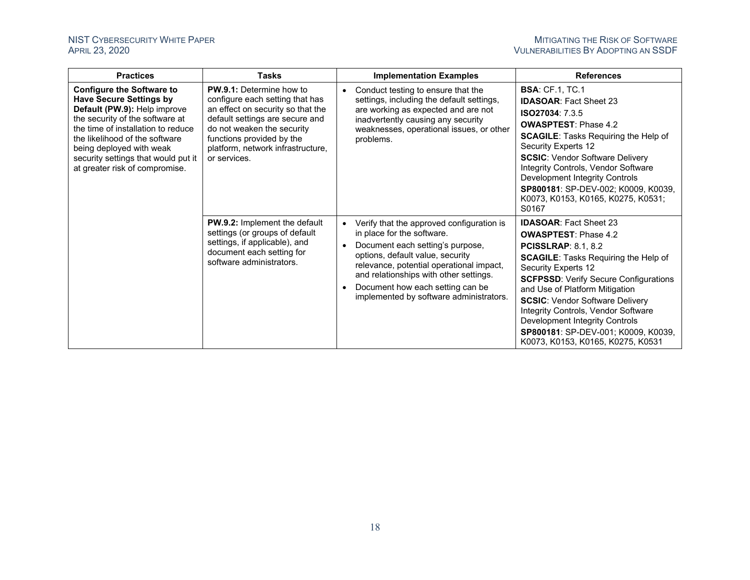| <b>Practices</b>                                                                                                                                                                                                                                                                                                   | <b>Tasks</b>                                                                                                                                                                                                                                               |           | <b>Implementation Examples</b>                                                                                                                                                                                                                                                                                       | <b>References</b>                                                                                                                                                                                                                                                                                                                                                                                                                                 |
|--------------------------------------------------------------------------------------------------------------------------------------------------------------------------------------------------------------------------------------------------------------------------------------------------------------------|------------------------------------------------------------------------------------------------------------------------------------------------------------------------------------------------------------------------------------------------------------|-----------|----------------------------------------------------------------------------------------------------------------------------------------------------------------------------------------------------------------------------------------------------------------------------------------------------------------------|---------------------------------------------------------------------------------------------------------------------------------------------------------------------------------------------------------------------------------------------------------------------------------------------------------------------------------------------------------------------------------------------------------------------------------------------------|
| <b>Configure the Software to</b><br><b>Have Secure Settings by</b><br>Default (PW.9): Help improve<br>the security of the software at<br>the time of installation to reduce<br>the likelihood of the software<br>being deployed with weak<br>security settings that would put it<br>at greater risk of compromise. | <b>PW.9.1:</b> Determine how to<br>configure each setting that has<br>an effect on security so that the<br>default settings are secure and<br>do not weaken the security<br>functions provided by the<br>platform, network infrastructure,<br>or services. | $\bullet$ | Conduct testing to ensure that the<br>settings, including the default settings,<br>are working as expected and are not<br>inadvertently causing any security<br>weaknesses, operational issues, or other<br>problems.                                                                                                | <b>BSA: CF.1, TC.1</b><br><b>IDASOAR: Fact Sheet 23</b><br><b>ISO27034: 7.3.5</b><br><b>OWASPTEST: Phase 4.2</b><br><b>SCAGILE:</b> Tasks Requiring the Help of<br>Security Experts 12<br><b>SCSIC: Vendor Software Delivery</b><br>Integrity Controls, Vendor Software<br>Development Integrity Controls<br>SP800181: SP-DEV-002; K0009, K0039,<br>K0073, K0153, K0165, K0275, K0531;<br>S0167                                                   |
|                                                                                                                                                                                                                                                                                                                    | <b>PW.9.2:</b> Implement the default<br>settings (or groups of default<br>settings, if applicable), and<br>document each setting for<br>software administrators.                                                                                           |           | Verify that the approved configuration is<br>in place for the software.<br>Document each setting's purpose,<br>options, default value, security<br>relevance, potential operational impact,<br>and relationships with other settings.<br>Document how each setting can be<br>implemented by software administrators. | <b>IDASOAR: Fact Sheet 23</b><br><b>OWASPTEST: Phase 4.2</b><br><b>PCISSLRAP: 8.1, 8.2</b><br><b>SCAGILE:</b> Tasks Requiring the Help of<br>Security Experts 12<br><b>SCFPSSD: Verify Secure Configurations</b><br>and Use of Platform Mitigation<br><b>SCSIC: Vendor Software Delivery</b><br>Integrity Controls, Vendor Software<br>Development Integrity Controls<br>SP800181: SP-DEV-001; K0009, K0039,<br>K0073, K0153, K0165, K0275, K0531 |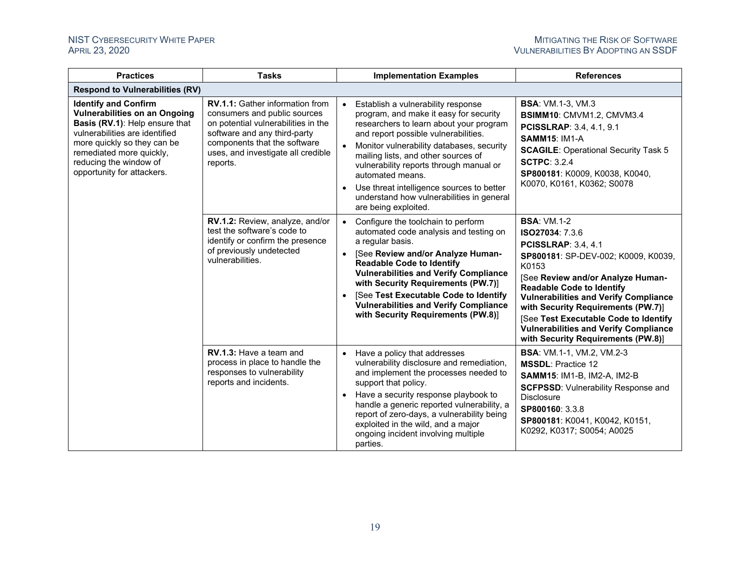| <b>Practices</b>                                                                                                                                                                                                                                           | <b>Tasks</b>                                                                                                                                                                                                                    | <b>Implementation Examples</b>                                                                                                                                                                                                                                                                                                                                                                                                                    | <b>References</b>                                                                                                                                                                                                                                                                                                                                                                                                 |
|------------------------------------------------------------------------------------------------------------------------------------------------------------------------------------------------------------------------------------------------------------|---------------------------------------------------------------------------------------------------------------------------------------------------------------------------------------------------------------------------------|---------------------------------------------------------------------------------------------------------------------------------------------------------------------------------------------------------------------------------------------------------------------------------------------------------------------------------------------------------------------------------------------------------------------------------------------------|-------------------------------------------------------------------------------------------------------------------------------------------------------------------------------------------------------------------------------------------------------------------------------------------------------------------------------------------------------------------------------------------------------------------|
| <b>Respond to Vulnerabilities (RV)</b>                                                                                                                                                                                                                     |                                                                                                                                                                                                                                 |                                                                                                                                                                                                                                                                                                                                                                                                                                                   |                                                                                                                                                                                                                                                                                                                                                                                                                   |
| <b>Identify and Confirm</b><br><b>Vulnerabilities on an Ongoing</b><br>Basis (RV.1): Help ensure that<br>vulnerabilities are identified<br>more quickly so they can be<br>remediated more quickly,<br>reducing the window of<br>opportunity for attackers. | <b>RV.1.1:</b> Gather information from<br>consumers and public sources<br>on potential vulnerabilities in the<br>software and any third-party<br>components that the software<br>uses, and investigate all credible<br>reports. | Establish a vulnerability response<br>program, and make it easy for security<br>researchers to learn about your program<br>and report possible vulnerabilities.<br>Monitor vulnerability databases, security<br>mailing lists, and other sources of<br>vulnerability reports through manual or<br>automated means.<br>Use threat intelligence sources to better<br>$\bullet$<br>understand how vulnerabilities in general<br>are being exploited. | <b>BSA: VM.1-3, VM.3</b><br>BSIMM10: CMVM1.2, CMVM3.4<br><b>PCISSLRAP: 3.4, 4.1, 9.1</b><br><b>SAMM15: IM1-A</b><br><b>SCAGILE: Operational Security Task 5</b><br><b>SCTPC: 3.2.4</b><br>SP800181: K0009, K0038, K0040,<br>K0070, K0161, K0362; S0078                                                                                                                                                            |
|                                                                                                                                                                                                                                                            | RV.1.2: Review, analyze, and/or<br>test the software's code to<br>identify or confirm the presence<br>of previously undetected<br>vulnerabilities.                                                                              | Configure the toolchain to perform<br>automated code analysis and testing on<br>a regular basis.<br>[See Review and/or Analyze Human-<br>$\bullet$<br><b>Readable Code to Identify</b><br><b>Vulnerabilities and Verify Compliance</b><br>with Security Requirements (PW.7)]<br>[See Test Executable Code to Identify<br><b>Vulnerabilities and Verify Compliance</b><br>with Security Requirements (PW.8)]                                       | <b>BSA: VM.1-2</b><br>ISO27034: 7.3.6<br><b>PCISSLRAP: 3.4, 4.1</b><br>SP800181: SP-DEV-002; K0009, K0039,<br>K0153<br>[See Review and/or Analyze Human-<br><b>Readable Code to Identify</b><br><b>Vulnerabilities and Verify Compliance</b><br>with Security Requirements (PW.7)]<br>[See Test Executable Code to Identify<br><b>Vulnerabilities and Verify Compliance</b><br>with Security Requirements (PW.8)] |
|                                                                                                                                                                                                                                                            | RV.1.3: Have a team and<br>process in place to handle the<br>responses to vulnerability<br>reports and incidents.                                                                                                               | • Have a policy that addresses<br>vulnerability disclosure and remediation,<br>and implement the processes needed to<br>support that policy.<br>Have a security response playbook to<br>handle a generic reported vulnerability, a<br>report of zero-days, a vulnerability being<br>exploited in the wild, and a major<br>ongoing incident involving multiple<br>parties.                                                                         | <b>BSA: VM.1-1, VM.2, VM.2-3</b><br><b>MSSDL: Practice 12</b><br><b>SAMM15: IM1-B, IM2-A, IM2-B</b><br><b>SCFPSSD: Vulnerability Response and</b><br><b>Disclosure</b><br>SP800160: 3.3.8<br>SP800181: K0041, K0042, K0151,<br>K0292, K0317; S0054; A0025                                                                                                                                                         |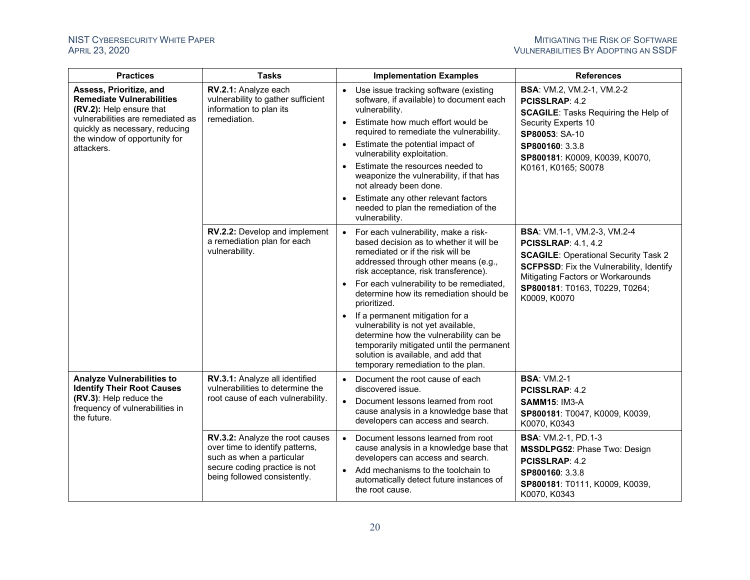| <b>Practices</b>                                                                                                                                                                                              | <b>Tasks</b>                                                                                                                                                     | <b>Implementation Examples</b>                                                                                                                                                                                                                                                                                                                                                                                                                                                                                                                              | <b>References</b>                                                                                                                                                                                                                                         |
|---------------------------------------------------------------------------------------------------------------------------------------------------------------------------------------------------------------|------------------------------------------------------------------------------------------------------------------------------------------------------------------|-------------------------------------------------------------------------------------------------------------------------------------------------------------------------------------------------------------------------------------------------------------------------------------------------------------------------------------------------------------------------------------------------------------------------------------------------------------------------------------------------------------------------------------------------------------|-----------------------------------------------------------------------------------------------------------------------------------------------------------------------------------------------------------------------------------------------------------|
| Assess, Prioritize, and<br><b>Remediate Vulnerabilities</b><br>(RV.2): Help ensure that<br>vulnerabilities are remediated as<br>quickly as necessary, reducing<br>the window of opportunity for<br>attackers. | RV.2.1: Analyze each<br>vulnerability to gather sufficient<br>information to plan its<br>remediation.                                                            | Use issue tracking software (existing<br>$\bullet$<br>software, if available) to document each<br>vulnerability.<br>Estimate how much effort would be<br>$\bullet$<br>required to remediate the vulnerability.<br>Estimate the potential impact of<br>$\bullet$<br>vulnerability exploitation.<br>Estimate the resources needed to<br>weaponize the vulnerability, if that has<br>not already been done.<br>Estimate any other relevant factors<br>needed to plan the remediation of the<br>vulnerability.                                                  | <b>BSA:</b> VM.2, VM.2-1, VM.2-2<br><b>PCISSLRAP: 4.2</b><br><b>SCAGILE:</b> Tasks Requiring the Help of<br>Security Experts 10<br>SP80053: SA-10<br>SP800160: 3.3.8<br>SP800181: K0009, K0039, K0070,<br>K0161, K0165; S0078                             |
|                                                                                                                                                                                                               | RV.2.2: Develop and implement<br>a remediation plan for each<br>vulnerability.                                                                                   | • For each vulnerability, make a risk-<br>based decision as to whether it will be<br>remediated or if the risk will be<br>addressed through other means (e.g.,<br>risk acceptance, risk transference).<br>For each vulnerability to be remediated,<br>determine how its remediation should be<br>prioritized.<br>If a permanent mitigation for a<br>vulnerability is not yet available,<br>determine how the vulnerability can be<br>temporarily mitigated until the permanent<br>solution is available, and add that<br>temporary remediation to the plan. | <b>BSA:</b> VM.1-1, VM.2-3, VM.2-4<br><b>PCISSLRAP: 4.1, 4.2</b><br><b>SCAGILE: Operational Security Task 2</b><br><b>SCFPSSD:</b> Fix the Vulnerability, Identify<br>Mitigating Factors or Workarounds<br>SP800181: T0163, T0229, T0264;<br>K0009, K0070 |
| <b>Analyze Vulnerabilities to</b><br><b>Identify Their Root Causes</b><br>(RV.3): Help reduce the<br>frequency of vulnerabilities in<br>the future.                                                           | RV.3.1: Analyze all identified<br>vulnerabilities to determine the<br>root cause of each vulnerability.                                                          | Document the root cause of each<br>$\bullet$<br>discovered issue.<br>Document lessons learned from root<br>$\bullet$<br>cause analysis in a knowledge base that<br>developers can access and search.                                                                                                                                                                                                                                                                                                                                                        | <b>BSA: VM.2-1</b><br><b>PCISSLRAP: 4.2</b><br><b>SAMM15: IM3-A</b><br>SP800181: T0047, K0009, K0039,<br>K0070, K0343                                                                                                                                     |
|                                                                                                                                                                                                               | RV.3.2: Analyze the root causes<br>over time to identify patterns,<br>such as when a particular<br>secure coding practice is not<br>being followed consistently. | Document lessons learned from root<br>$\bullet$<br>cause analysis in a knowledge base that<br>developers can access and search.<br>Add mechanisms to the toolchain to<br>$\bullet$<br>automatically detect future instances of<br>the root cause.                                                                                                                                                                                                                                                                                                           | <b>BSA: VM.2-1, PD.1-3</b><br><b>MSSDLPG52: Phase Two: Design</b><br>PCISSLRAP: 4.2<br>SP800160: 3.3.8<br>SP800181: T0111, K0009, K0039,<br>K0070, K0343                                                                                                  |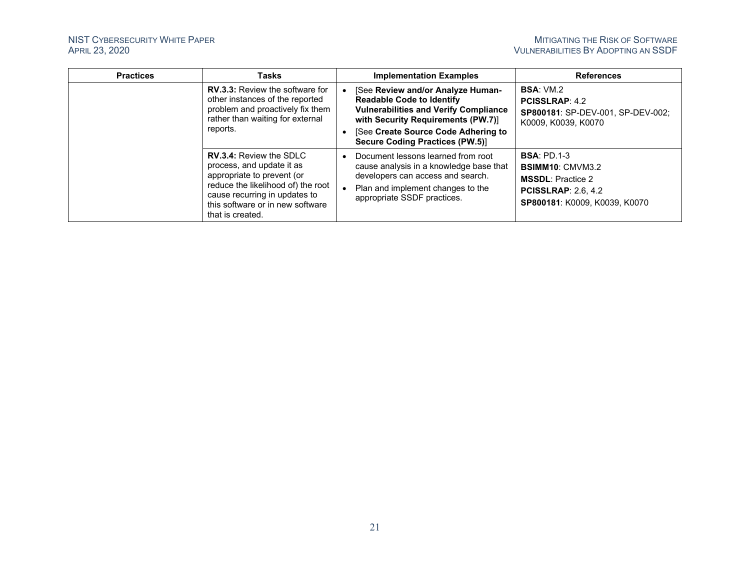| <b>Practices</b> | <b>Tasks</b>                                                                                                                                                                                                             |           | <b>Implementation Examples</b>                                                                                                                                                         | <b>References</b>                                                                                                                       |
|------------------|--------------------------------------------------------------------------------------------------------------------------------------------------------------------------------------------------------------------------|-----------|----------------------------------------------------------------------------------------------------------------------------------------------------------------------------------------|-----------------------------------------------------------------------------------------------------------------------------------------|
|                  | <b>RV.3.3: Review the software for</b><br>other instances of the reported<br>problem and proactively fix them<br>rather than waiting for external<br>reports.                                                            |           | [See Review and/or Analyze Human-<br><b>Readable Code to Identify</b><br><b>Vulnerabilities and Verify Compliance</b><br>with Security Requirements (PW.7)]                            | <b>BSA: VM.2</b><br><b>PCISSLRAP: 4.2</b><br>SP800181: SP-DEV-001, SP-DEV-002;<br>K0009, K0039, K0070                                   |
|                  |                                                                                                                                                                                                                          |           | [See Create Source Code Adhering to<br><b>Secure Coding Practices (PW.5)]</b>                                                                                                          |                                                                                                                                         |
|                  | <b>RV.3.4: Review the SDLC</b><br>process, and update it as<br>appropriate to prevent (or<br>reduce the likelihood of) the root<br>cause recurring in updates to<br>this software or in new software<br>that is created. | $\bullet$ | Document lessons learned from root<br>cause analysis in a knowledge base that<br>developers can access and search.<br>Plan and implement changes to the<br>appropriate SSDF practices. | <b>BSA: PD.1-3</b><br><b>BSIMM10: CMVM3.2</b><br><b>MSSDL:</b> Practice 2<br><b>PCISSLRAP: 2.6.4.2</b><br>SP800181: K0009, K0039, K0070 |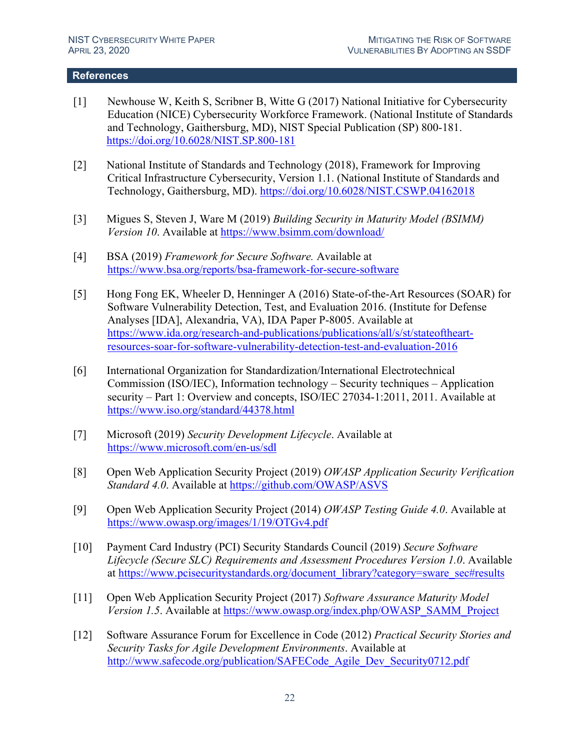### <span id="page-24-1"></span>**References**

- <span id="page-24-0"></span>[1] Newhouse W, Keith S, Scribner B, Witte G (2017) National Initiative for Cybersecurity Education (NICE) Cybersecurity Workforce Framework. (National Institute of Standards and Technology, Gaithersburg, MD), NIST Special Publication (SP) 800-181. <https://doi.org/10.6028/NIST.SP.800-181>
- <span id="page-24-2"></span>[2] National Institute of Standards and Technology (2018), Framework for Improving Critical Infrastructure Cybersecurity, Version 1.1. (National Institute of Standards and Technology, Gaithersburg, MD).<https://doi.org/10.6028/NIST.CSWP.04162018>
- <span id="page-24-3"></span>[3] Migues S, Steven J, Ware M (2019) *Building Security in Maturity Model (BSIMM) Version 10*. Available at<https://www.bsimm.com/download/>
- <span id="page-24-4"></span>[4] BSA (2019) *Framework for Secure Software.* Available at <https://www.bsa.org/reports/bsa-framework-for-secure-software>
- <span id="page-24-5"></span>[5] Hong Fong EK, Wheeler D, Henninger A (2016) State-of-the-Art Resources (SOAR) for Software Vulnerability Detection, Test, and Evaluation 2016. (Institute for Defense Analyses [IDA], Alexandria, VA), IDA Paper P-8005. Available at [https://www.ida.org/research-and-publications/publications/all/s/st/stateoftheart](https://www.ida.org/research-and-publications/publications/all/s/st/stateoftheart-resources-soar-for-software-vulnerability-detection-test-and-evaluation-2016)[resources-soar-for-software-vulnerability-detection-test-and-evaluation-2016](https://www.ida.org/research-and-publications/publications/all/s/st/stateoftheart-resources-soar-for-software-vulnerability-detection-test-and-evaluation-2016)
- <span id="page-24-6"></span>[6] International Organization for Standardization/International Electrotechnical Commission (ISO/IEC), Information technology – Security techniques – Application security – Part 1: Overview and concepts, ISO/IEC 27034-1:2011, 2011. Available at <https://www.iso.org/standard/44378.html>
- <span id="page-24-7"></span>[7] Microsoft (2019) *Security Development Lifecycle*. Available at <https://www.microsoft.com/en-us/sdl>
- <span id="page-24-8"></span>[8] Open Web Application Security Project (2019) *OWASP Application Security Verification Standard 4.0*. Available at <https://github.com/OWASP/ASVS>
- <span id="page-24-9"></span>[9] Open Web Application Security Project (2014) *OWASP Testing Guide 4.0*. Available at <https://www.owasp.org/images/1/19/OTGv4.pdf>
- <span id="page-24-10"></span>[10] Payment Card Industry (PCI) Security Standards Council (2019) *Secure Software Lifecycle (Secure SLC) Requirements and Assessment Procedures Version 1.0*. Available at [https://www.pcisecuritystandards.org/document\\_library?category=sware\\_sec#results](https://www.pcisecuritystandards.org/document_library?category=sware_sec#results)
- <span id="page-24-11"></span>[11] Open Web Application Security Project (2017) *Software Assurance Maturity Model Version 1.5.* Available at [https://www.owasp.org/index.php/OWASP\\_SAMM\\_Project](https://www.owasp.org/index.php/OWASP_SAMM_Project)
- <span id="page-24-12"></span>[12] Software Assurance Forum for Excellence in Code (2012) *Practical Security Stories and Security Tasks for Agile Development Environments*. Available at http://www.safecode.org/publication/SAFECode Agile Dev Security0712.pdf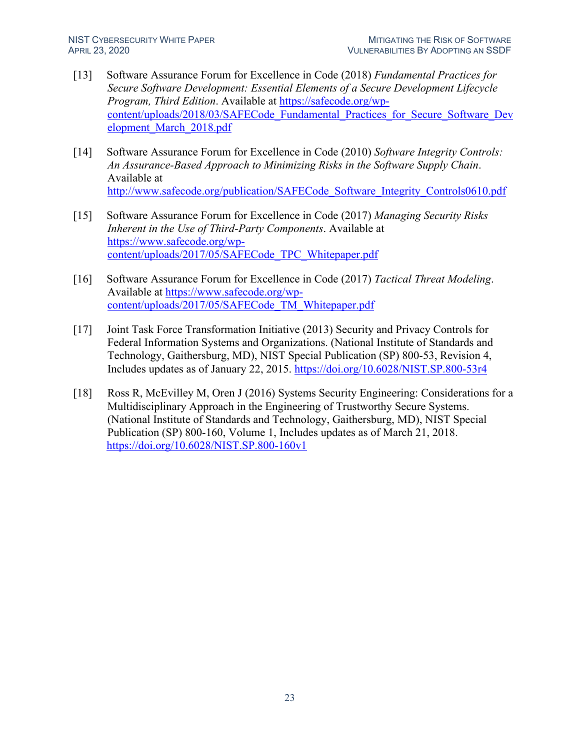- <span id="page-25-0"></span>[13] Software Assurance Forum for Excellence in Code (2018) *Fundamental Practices for Secure Software Development: Essential Elements of a Secure Development Lifecycle Program, Third Edition*. Available at [https://safecode.org/wp](https://safecode.org/wp-content/uploads/2018/03/SAFECode_Fundamental_Practices_for_Secure_Software_Development_March_2018.pdf)[content/uploads/2018/03/SAFECode\\_Fundamental\\_Practices\\_for\\_Secure\\_Software\\_Dev](https://safecode.org/wp-content/uploads/2018/03/SAFECode_Fundamental_Practices_for_Secure_Software_Development_March_2018.pdf) [elopment\\_March\\_2018.pdf](https://safecode.org/wp-content/uploads/2018/03/SAFECode_Fundamental_Practices_for_Secure_Software_Development_March_2018.pdf)
- <span id="page-25-1"></span>[14] Software Assurance Forum for Excellence in Code (2010) *Software Integrity Controls: An Assurance-Based Approach to Minimizing Risks in the Software Supply Chain*. Available at [http://www.safecode.org/publication/SAFECode\\_Software\\_Integrity\\_Controls0610.pdf](http://www.safecode.org/publication/SAFECode_Software_Integrity_Controls0610.pdf)
- <span id="page-25-2"></span>[15] Software Assurance Forum for Excellence in Code (2017) *Managing Security Risks Inherent in the Use of Third-Party Components*. Available at [https://www.safecode.org/wp](https://www.safecode.org/wp-content/uploads/2017/05/SAFECode_TPC_Whitepaper.pdf)[content/uploads/2017/05/SAFECode\\_TPC\\_Whitepaper.pdf](https://www.safecode.org/wp-content/uploads/2017/05/SAFECode_TPC_Whitepaper.pdf)
- <span id="page-25-3"></span>[16] Software Assurance Forum for Excellence in Code (2017) *Tactical Threat Modeling*. Available at [https://www.safecode.org/wp](https://www.safecode.org/wp-content/uploads/2017/05/SAFECode_TM_Whitepaper.pdf)[content/uploads/2017/05/SAFECode\\_TM\\_Whitepaper.pdf](https://www.safecode.org/wp-content/uploads/2017/05/SAFECode_TM_Whitepaper.pdf)
- <span id="page-25-4"></span>[17] Joint Task Force Transformation Initiative (2013) Security and Privacy Controls for Federal Information Systems and Organizations. (National Institute of Standards and Technology, Gaithersburg, MD), NIST Special Publication (SP) 800-53, Revision 4, Includes updates as of January 22, 2015.<https://doi.org/10.6028/NIST.SP.800-53r4>
- <span id="page-25-5"></span>[18] Ross R, McEvilley M, Oren J (2016) Systems Security Engineering: Considerations for a Multidisciplinary Approach in the Engineering of Trustworthy Secure Systems. (National Institute of Standards and Technology, Gaithersburg, MD), NIST Special Publication (SP) 800-160, Volume 1, Includes updates as of March 21, 2018. <https://doi.org/10.6028/NIST.SP.800-160v1>